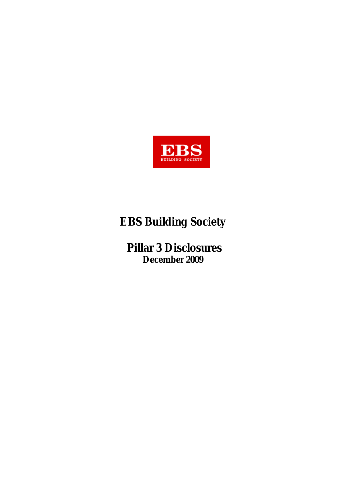

# **EBS Building Society**

 **Pillar 3 Disclosures December 2009**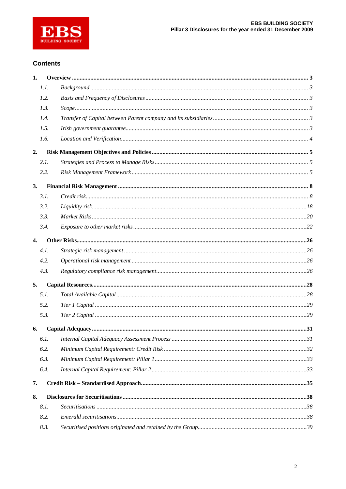

### **Contents**

| 1.               |      |  |
|------------------|------|--|
|                  | 1.1. |  |
|                  | 1.2. |  |
|                  | 1.3. |  |
|                  | 1.4. |  |
|                  | 1.5. |  |
|                  | 1.6. |  |
| 2.               |      |  |
|                  | 2.1. |  |
|                  | 2.2. |  |
| 3.               |      |  |
|                  | 3.1. |  |
|                  | 3.2. |  |
|                  | 3.3. |  |
|                  | 3.4. |  |
| $\overline{4}$ . |      |  |
|                  | 4.1. |  |
|                  | 4.2. |  |
|                  | 4.3. |  |
| 5.               |      |  |
|                  | 5.1. |  |
|                  | 5.2. |  |
|                  | 5.3. |  |
| 6.               |      |  |
|                  | 6.1. |  |
|                  | 6.2. |  |
|                  | 6.3. |  |
|                  | 6.4. |  |
| 7.               |      |  |
| 8.               |      |  |
|                  | 8.1. |  |
|                  | 8.2. |  |
|                  | 8.3. |  |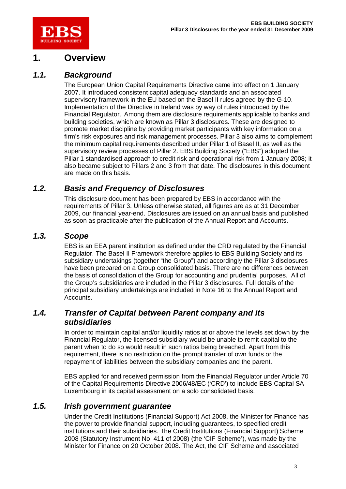

# **1. Overview**

## *1.1. Background*

The European Union Capital Requirements Directive came into effect on 1 January 2007. It introduced consistent capital adequacy standards and an associated supervisory framework in the EU based on the Basel II rules agreed by the G-10. Implementation of the Directive in Ireland was by way of rules introduced by the Financial Regulator. Among them are disclosure requirements applicable to banks and building societies, which are known as Pillar 3 disclosures. These are designed to promote market discipline by providing market participants with key information on a firm's risk exposures and risk management processes. Pillar 3 also aims to complement the minimum capital requirements described under Pillar 1 of Basel II, as well as the supervisory review processes of Pillar 2. EBS Building Society ("EBS") adopted the Pillar 1 standardised approach to credit risk and operational risk from 1 January 2008; it also became subject to Pillars 2 and 3 from that date. The disclosures in this document are made on this basis.

## *1.2. Basis and Frequency of Disclosures*

This disclosure document has been prepared by EBS in accordance with the requirements of Pillar 3. Unless otherwise stated, all figures are as at 31 December 2009, our financial year-end. Disclosures are issued on an annual basis and published as soon as practicable after the publication of the Annual Report and Accounts.

### *1.3. Scope*

EBS is an EEA parent institution as defined under the CRD regulated by the Financial Regulator. The Basel II Framework therefore applies to EBS Building Society and its subsidiary undertakings (together "the Group") and accordingly the Pillar 3 disclosures have been prepared on a Group consolidated basis. There are no differences between the basis of consolidation of the Group for accounting and prudential purposes. All of the Group's subsidiaries are included in the Pillar 3 disclosures. Full details of the principal subsidiary undertakings are included in Note 16 to the Annual Report and Accounts.

### *1.4. Transfer of Capital between Parent company and its subsidiaries*

In order to maintain capital and/or liquidity ratios at or above the levels set down by the Financial Regulator, the licensed subsidiary would be unable to remit capital to the parent when to do so would result in such ratios being breached. Apart from this requirement, there is no restriction on the prompt transfer of own funds or the repayment of liabilities between the subsidiary companies and the parent.

EBS applied for and received permission from the Financial Regulator under Article 70 of the Capital Requirements Directive 2006/48/EC ('CRD') to include EBS Capital SA Luxembourg in its capital assessment on a solo consolidated basis.

### *1.5. Irish government guarantee*

Under the Credit Institutions (Financial Support) Act 2008, the Minister for Finance has the power to provide financial support, including guarantees, to specified credit institutions and their subsidiaries. The Credit Institutions (Financial Support) Scheme 2008 (Statutory Instrument No. 411 of 2008) (the 'CIF Scheme'), was made by the Minister for Finance on 20 October 2008. The Act, the CIF Scheme and associated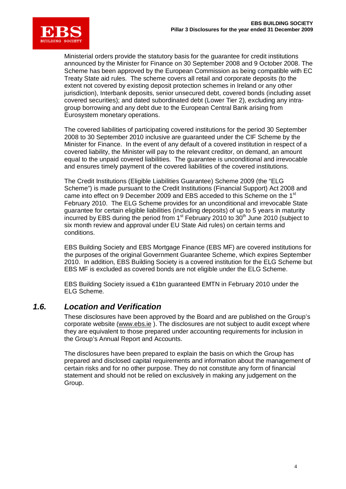

Ministerial orders provide the statutory basis for the guarantee for credit institutions announced by the Minister for Finance on 30 September 2008 and 9 October 2008. The Scheme has been approved by the European Commission as being compatible with EC Treaty State aid rules. The scheme covers all retail and corporate deposits (to the extent not covered by existing deposit protection schemes in Ireland or any other jurisdiction), Interbank deposits, senior unsecured debt, covered bonds (including asset covered securities); and dated subordinated debt (Lower Tier 2), excluding any intragroup borrowing and any debt due to the European Central Bank arising from Eurosystem monetary operations.

The covered liabilities of participating covered institutions for the period 30 September 2008 to 30 September 2010 inclusive are guaranteed under the CIF Scheme by the Minister for Finance. In the event of any default of a covered institution in respect of a covered liability, the Minister will pay to the relevant creditor, on demand, an amount equal to the unpaid covered liabilities. The guarantee is unconditional and irrevocable and ensures timely payment of the covered liabilities of the covered institutions.

The Credit Institutions (Eligible Liabilities Guarantee) Scheme 2009 (the "ELG Scheme") is made pursuant to the Credit Institutions (Financial Support) Act 2008 and came into effect on 9 December 2009 and EBS acceded to this Scheme on the 1<sup>st</sup> February 2010. The ELG Scheme provides for an unconditional and irrevocable State guarantee for certain eligible liabilities (including deposits) of up to 5 years in maturity incurred by EBS during the period from  $1<sup>st</sup>$  February 2010 to  $30<sup>th</sup>$  June 2010 (subject to six month review and approval under EU State Aid rules) on certain terms and conditions.

EBS Building Society and EBS Mortgage Finance (EBS MF) are covered institutions for the purposes of the original Government Guarantee Scheme, which expires September 2010. In addition, EBS Building Society is a covered institution for the ELG Scheme but EBS MF is excluded as covered bonds are not eligible under the ELG Scheme.

EBS Building Society issued a €1bn guaranteed EMTN in February 2010 under the ELG Scheme.

### *1.6. Location and Verification*

These disclosures have been approved by the Board and are published on the Group's corporate website [\(www.ebs.ie](http://www.ebs.ie) ). The disclosures are not subject to audit except where they are equivalent to those prepared under accounting requirements for inclusion in the Group's Annual Report and Accounts.

The disclosures have been prepared to explain the basis on which the Group has prepared and disclosed capital requirements and information about the management of certain risks and for no other purpose. They do not constitute any form of financial statement and should not be relied on exclusively in making any judgement on the Group.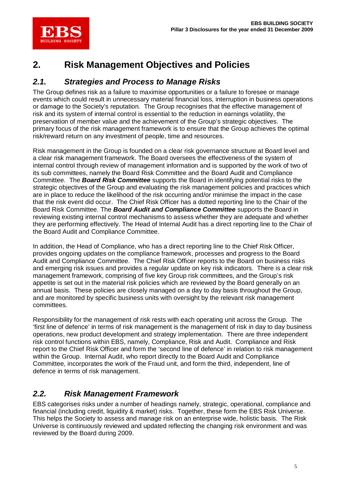

# **2. Risk Management Objectives and Policies**

## *2.1. Strategies and Process to Manage Risks*

The Group defines risk as a failure to maximise opportunities or a failure to foresee or manage events which could result in unnecessary material financial loss, interruption in business operations or damage to the Society's reputation. The Group recognises that the effective management of risk and its system of internal control is essential to the reduction in earnings volatility, the preservation of member value and the achievement of the Group's strategic objectives. The primary focus of the risk management framework is to ensure that the Group achieves the optimal risk/reward return on any investment of people, time and resources.

Risk management in the Group is founded on a clear risk governance structure at Board level and a clear risk management framework. The Board oversees the effectiveness of the system of internal control through review of management information and is supported by the work of two of its sub committees, namely the Board Risk Committee and the Board Audit and Compliance Committee. The *Board Risk Committee* supports the Board in identifying potential risks to the strategic objectives of the Group and evaluating the risk management policies and practices which are in place to reduce the likelihood of the risk occurring and/or minimise the impact in the case that the risk event did occur. The Chief Risk Officer has a dotted reporting line to the Chair of the Board Risk Committee. The *Board Audit and Compliance Committee* supports the Board in reviewing existing internal control mechanisms to assess whether they are adequate and whether they are performing effectively. The Head of Internal Audit has a direct reporting line to the Chair of the Board Audit and Compliance Committee.

In addition, the Head of Compliance, who has a direct reporting line to the Chief Risk Officer, provides ongoing updates on the compliance framework, processes and progress to the Board Audit and Compliance Committee. The Chief Risk Officer reports to the Board on business risks and emerging risk issues and provides a regular update on key risk indicators. There is a clear risk management framework, comprising of five key Group risk committees, and the Group's risk appetite is set out in the material risk policies which are reviewed by the Board generally on an annual basis. These policies are closely managed on a day to day basis throughout the Group, and are monitored by specific business units with oversight by the relevant risk management committees.

Responsibility for the management of risk rests with each operating unit across the Group. The 'first line of defence' in terms of risk management is the management of risk in day to day business operations, new product development and strategy implementation. There are three independent risk control functions within EBS, namely, Compliance, Risk and Audit. Compliance and Risk report to the Chief Risk Officer and form the 'second line of defence' in relation to risk management within the Group. Internal Audit, who report directly to the Board Audit and Compliance Committee, incorporates the work of the Fraud unit, and form the third, independent, line of defence in terms of risk management.

# *2.2. Risk Management Framework*

EBS categorises risks under a number of headings namely, strategic, operational, compliance and financial (including credit, liquidity & market) risks. Together, these form the EBS Risk Universe. This helps the Society to assess and manage risk on an enterprise wide, holistic basis. The Risk Universe is continuously reviewed and updated reflecting the changing risk environment and was reviewed by the Board during 2009.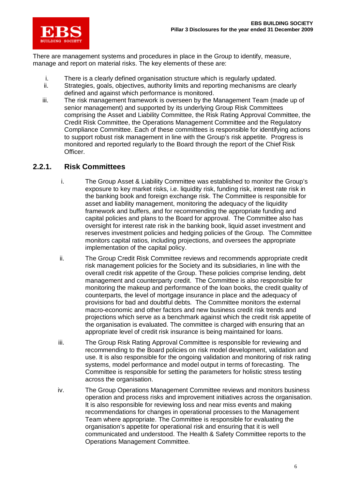

There are management systems and procedures in place in the Group to identify, measure, manage and report on material risks. The key elements of these are:

- i. There is a clearly defined organisation structure which is regularly updated.
- ii. Strategies, goals, objectives, authority limits and reporting mechanisms are clearly defined and against which performance is monitored.
- iii. The risk management framework is overseen by the Management Team (made up of senior management) and supported by its underlying Group Risk Committees comprising the Asset and Liability Committee, the Risk Rating Approval Committee, the Credit Risk Committee, the Operations Management Committee and the Regulatory Compliance Committee. Each of these committees is responsible for identifying actions to support robust risk management in line with the Group's risk appetite. Progress is monitored and reported regularly to the Board through the report of the Chief Risk Officer.

### **2.2.1. Risk Committees**

- i. The Group Asset & Liability Committee was established to monitor the Group's exposure to key market risks, i.e. liquidity risk, funding risk, interest rate risk in the banking book and foreign exchange risk. The Committee is responsible for asset and liability management, monitoring the adequacy of the liquidity framework and buffers, and for recommending the appropriate funding and capital policies and plans to the Board for approval. The Committee also has oversight for interest rate risk in the banking book, liquid asset investment and reserves investment policies and hedging policies of the Group. The Committee monitors capital ratios, including projections, and oversees the appropriate implementation of the capital policy.
- ii. The Group Credit Risk Committee reviews and recommends appropriate credit risk management policies for the Society and its subsidiaries, in line with the overall credit risk appetite of the Group. These policies comprise lending, debt management and counterparty credit. The Committee is also responsible for monitoring the makeup and performance of the loan books, the credit quality of counterparts, the level of mortgage insurance in place and the adequacy of provisions for bad and doubtful debts. The Committee monitors the external macro-economic and other factors and new business credit risk trends and projections which serve as a benchmark against which the credit risk appetite of the organisation is evaluated. The committee is charged with ensuring that an appropriate level of credit risk insurance is being maintained for loans.
- iii. The Group Risk Rating Approval Committee is responsible for reviewing and recommending to the Board policies on risk model development, validation and use. It is also responsible for the ongoing validation and monitoring of risk rating systems, model performance and model output in terms of forecasting. The Committee is responsible for setting the parameters for holistic stress testing across the organisation.
- iv. The Group Operations Management Committee reviews and monitors business operation and process risks and improvement initiatives across the organisation. It is also responsible for reviewing loss and near miss events and making recommendations for changes in operational processes to the Management Team where appropriate. The Committee is responsible for evaluating the organisation's appetite for operational risk and ensuring that it is well communicated and understood. The Health & Safety Committee reports to the Operations Management Committee.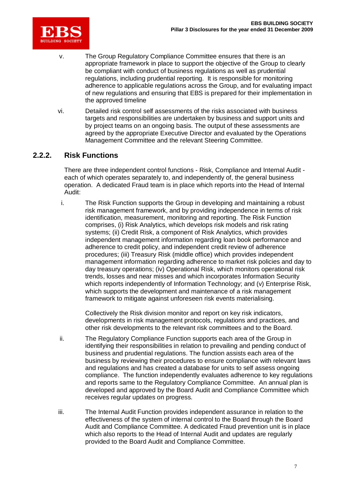

- v. The Group Regulatory Compliance Committee ensures that there is an appropriate framework in place to support the objective of the Group to clearly be compliant with conduct of business regulations as well as prudential regulations, including prudential reporting. It is responsible for monitoring adherence to applicable regulations across the Group, and for evaluating impact of new regulations and ensuring that EBS is prepared for their implementation in the approved timeline
- vi. Detailed risk control self assessments of the risks associated with business targets and responsibilities are undertaken by business and support units and by project teams on an ongoing basis. The output of these assessments are agreed by the appropriate Executive Director and evaluated by the Operations Management Committee and the relevant Steering Committee.

### **2.2.2. Risk Functions**

There are three independent control functions - Risk, Compliance and Internal Audit each of which operates separately to, and independently of, the general business operation. A dedicated Fraud team is in place which reports into the Head of Internal Audit:

i. The Risk Function supports the Group in developing and maintaining a robust risk management framework, and by providing independence in terms of risk identification, measurement, monitoring and reporting. The Risk Function comprises, (i) Risk Analytics, which develops risk models and risk rating systems; (ii) Credit Risk, a component of Risk Analytics, which provides independent management information regarding loan book performance and adherence to credit policy, and independent credit review of adherence procedures; (iii) Treasury Risk (middle office) which provides independent management information regarding adherence to market risk policies and day to day treasury operations; (iv) Operational Risk, which monitors operational risk trends, losses and near misses and which incorporates Information Security which reports independently of Information Technology; and (v) Enterprise Risk, which supports the development and maintenance of a risk management framework to mitigate against unforeseen risk events materialising.

Collectively the Risk division monitor and report on key risk indicators, developments in risk management protocols, regulations and practices, and other risk developments to the relevant risk committees and to the Board.

- ii. The Regulatory Compliance Function supports each area of the Group in identifying their responsibilities in relation to prevailing and pending conduct of business and prudential regulations. The function assists each area of the business by reviewing their procedures to ensure compliance with relevant laws and regulations and has created a database for units to self assess ongoing compliance. The function independently evaluates adherence to key regulations and reports same to the Regulatory Compliance Committee. An annual plan is developed and approved by the Board Audit and Compliance Committee which receives regular updates on progress.
- iii. The Internal Audit Function provides independent assurance in relation to the effectiveness of the system of internal control to the Board through the Board Audit and Compliance Committee. A dedicated Fraud prevention unit is in place which also reports to the Head of Internal Audit and updates are regularly provided to the Board Audit and Compliance Committee.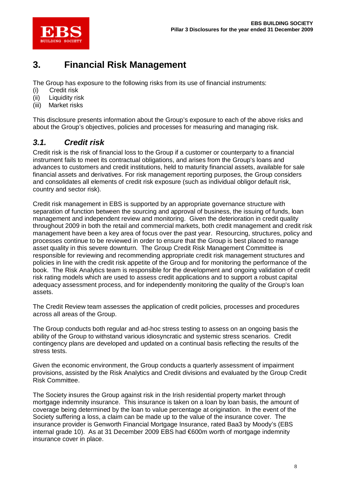

# **3. Financial Risk Management**

The Group has exposure to the following risks from its use of financial instruments:

- (i) Credit risk
- (ii) Liquidity risk
- Market risks

This disclosure presents information about the Group's exposure to each of the above risks and about the Group's objectives, policies and processes for measuring and managing risk.

# *3.1. Credit risk*

Credit risk is the risk of financial loss to the Group if a customer or counterparty to a financial instrument fails to meet its contractual obligations, and arises from the Group's loans and advances to customers and credit institutions, held to maturity financial assets, available for sale financial assets and derivatives. For risk management reporting purposes, the Group considers and consolidates all elements of credit risk exposure (such as individual obligor default risk, country and sector risk).

Credit risk management in EBS is supported by an appropriate governance structure with separation of function between the sourcing and approval of business, the issuing of funds, loan management and independent review and monitoring. Given the deterioration in credit quality throughout 2009 in both the retail and commercial markets, both credit management and credit risk management have been a key area of focus over the past year. Resourcing, structures, policy and processes continue to be reviewed in order to ensure that the Group is best placed to manage asset quality in this severe downturn. The Group Credit Risk Management Committee is responsible for reviewing and recommending appropriate credit risk management structures and policies in line with the credit risk appetite of the Group and for monitoring the performance of the book. The Risk Analytics team is responsible for the development and ongoing validation of credit risk rating models which are used to assess credit applications and to support a robust capital adequacy assessment process, and for independently monitoring the quality of the Group's loan assets.

The Credit Review team assesses the application of credit policies, processes and procedures across all areas of the Group.

The Group conducts both regular and ad-hoc stress testing to assess on an ongoing basis the ability of the Group to withstand various idiosyncratic and systemic stress scenarios. Credit contingency plans are developed and updated on a continual basis reflecting the results of the stress tests.

Given the economic environment, the Group conducts a quarterly assessment of impairment provisions, assisted by the Risk Analytics and Credit divisions and evaluated by the Group Credit Risk Committee.

The Society insures the Group against risk in the Irish residential property market through mortgage indemnity insurance. This insurance is taken on a loan by loan basis, the amount of coverage being determined by the loan to value percentage at origination. In the event of the Society suffering a loss, a claim can be made up to the value of the insurance cover. The insurance provider is Genworth Financial Mortgage Insurance, rated Baa3 by Moody's (EBS internal grade 10). As at 31 December 2009 EBS had €600m worth of mortgage indemnity insurance cover in place.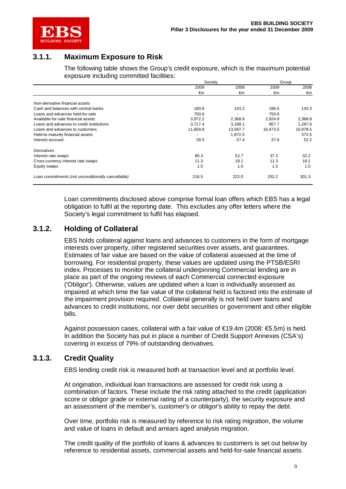

## **3.1.1. Maximum Exposure to Risk**

The following table shows the Group's credit exposure, which is the maximum potential exposure including committed facilities:

|                                                    | Society  |          | Group    |          |
|----------------------------------------------------|----------|----------|----------|----------|
|                                                    | 2009     | 2008     | 2009     | 2008     |
|                                                    | €m       | €m       | €m       | €m       |
| Non-derivative financial assets                    |          |          |          |          |
| Cash and balances with central banks               | 180.6    | 143.2    | 196.5    | 143.3    |
| Loans and advances held-for-sale                   | 750.6    | ٠        | 750.6    |          |
| Available-for-sale financial assets                | 3,972.2  | 2,368.8  | 2.924.8  | 2,368.8  |
| Loans and advances to credit institutions          | 3.717.4  | 3,198.1  | 957.7    | 1,287.6  |
| Loans and advances to customers                    | 11,659.8 | 13,597.7 | 16,473.5 | 16,978.5 |
| Held-to-maturity financial assets                  |          | 1,872.5  |          | 372.5    |
| Interest accrued                                   | 39.5     | 57.4     | 37.6     | 52.2     |
| Derivatives                                        |          |          |          |          |
| Interest rate swaps                                | 80.3     | 52.7     | 37.2     | 32.2     |
| Cross currency interest rate swaps                 | 11.3     | 18.1     | 11.3     | 18.1     |
| Equity swaps                                       | 1.5      | 1.0      | 1.5      | 1.0      |
| Loan commitments (not unconditionally cancellable) | 216.5    | 222.0    | 252.2    | 301.3    |

Loan commitments disclosed above comprise formal loan offers which EBS has a legal obligation to fulfil at the reporting date. This excludes any offer letters where the Society's legal commitment to fulfil has elapsed.

### **3.1.2. Holding of Collateral**

EBS holds collateral against loans and advances to customers in the form of mortgage interests over property, other registered securities over assets, and guarantees. Estimates of fair value are based on the value of collateral assessed at the time of borrowing. For residential property, these values are updated using the PTSB/ESRI index. Processes to monitor the collateral underpinning Commercial lending are in place as part of the ongoing reviews of each Commercial connected exposure ('Obligor'). Otherwise, values are updated when a loan is individually assessed as impaired at which time the fair value of the collateral held is factored into the estimate of the impairment provision required. Collateral generally is not held over loans and advances to credit institutions, nor over debt securities or government and other eligible bills.

Against possession cases, collateral with a fair value of  $\epsilon$ 19.4m (2008:  $\epsilon$ 5.5m) is held. In addition the Society has put in place a number of Credit Support Annexes (CSA's) covering in excess of 79% of outstanding derivatives.

### **3.1.3. Credit Quality**

EBS lending credit risk is measured both at transaction level and at portfolio level.

At origination, individual loan transactions are assessed for credit risk using a combination of factors. These include the risk rating attached to the credit (application score or obligor grade or external rating of a counterparty), the security exposure and an assessment of the member's, customer's or obligor's ability to repay the debt.

Over time, portfolio risk is measured by reference to risk rating migration, the volume and value of loans in default and arrears aged analysis migration.

The credit quality of the portfolio of loans & advances to customers is set out below by reference to residential assets, commercial assets and held-for-sale financial assets.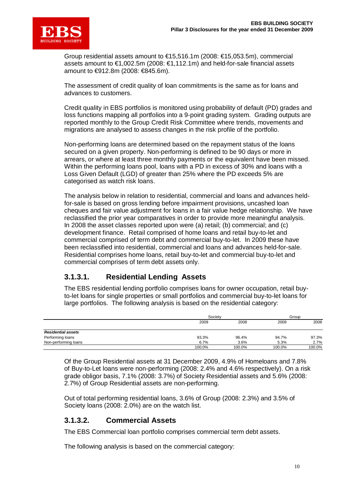

Group residential assets amount to €15,516.1m (2008: €15,053.5m), commercial assets amount to €1,002.5m (2008: €1,112.1m) and held-for-sale financial assets amount to €912.8m (2008: €845.6m).

The assessment of credit quality of loan commitments is the same as for loans and advances to customers.

Credit quality in EBS portfolios is monitored using probability of default (PD) grades and loss functions mapping all portfolios into a 9-point grading system. Grading outputs are reported monthly to the Group Credit Risk Committee where trends, movements and migrations are analysed to assess changes in the risk profile of the portfolio.

Non-performing loans are determined based on the repayment status of the loans secured on a given property. Non-performing is defined to be 90 days or more in arrears, or where at least three monthly payments or the equivalent have been missed. Within the performing loans pool, loans with a PD in excess of 30% and loans with a Loss Given Default (LGD) of greater than 25% where the PD exceeds 5% are categorised as watch risk loans.

The analysis below in relation to residential, commercial and loans and advances heldfor-sale is based on gross lending before impairment provisions, uncashed loan cheques and fair value adjustment for loans in a fair value hedge relationship. We have reclassified the prior year comparatives in order to provide more meaningful analysis. In 2008 the asset classes reported upon were (a) retail; (b) commercial; and (c) development finance. Retail comprised of home loans and retail buy-to-let and commercial comprised of term debt and commercial buy-to-let. In 2009 these have been reclassified into residential, commercial and loans and advances held-for-sale. Residential comprises home loans, retail buy-to-let and commercial buy-to-let and commercial comprises of term debt assets only.

### **3.1.3.1. Residential Lending Assets**

The EBS residential lending portfolio comprises loans for owner occupation, retail buyto-let loans for single properties or small portfolios and commercial buy-to-let loans for large portfolios. The following analysis is based on the residential category:

|                           |        | Society |        | Group  |  |
|---------------------------|--------|---------|--------|--------|--|
|                           | 2009   | 2008    |        | 2008   |  |
| <b>Residential assets</b> |        |         |        |        |  |
| Performing loans          | 93.3%  | 96.4%   | 94.7%  | 97.3%  |  |
| Non-performing loans      | 6.7%   | 3.6%    | 5.3%   | 2.7%   |  |
|                           | 100.0% | 100.0%  | 100.0% | 100.0% |  |

Of the Group Residential assets at 31 December 2009, 4.9% of Homeloans and 7.8% of Buy-to-Let loans were non-performing (2008: 2.4% and 4.6% respectively). On a risk grade obligor basis, 7.1% (2008: 3.7%) of Society Residential assets and 5.6% (2008: 2.7%) of Group Residential assets are non-performing.

Out of total performing residential loans, 3.6% of Group (2008: 2.3%) and 3.5% of Society loans (2008: 2.0%) are on the watch list.

### **3.1.3.2. Commercial Assets**

The EBS Commercial loan portfolio comprises commercial term debt assets.

The following analysis is based on the commercial category: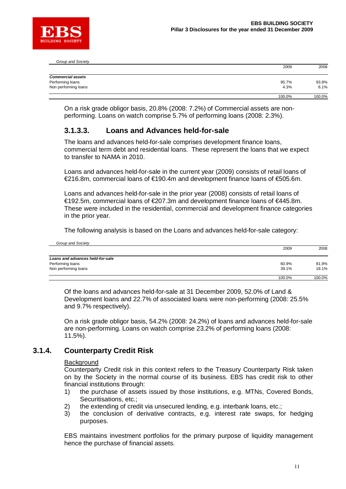

| Group and Society        |        |        |
|--------------------------|--------|--------|
|                          | 2009   | 2008   |
| <b>Commercial assets</b> |        |        |
| Performing loans         | 95.7%  | 93.9%  |
| Non performing loans     | 4.3%   | 6.1%   |
|                          | 100.0% | 100.0% |

On a risk grade obligor basis, 20.8% (2008: 7.2%) of Commercial assets are nonperforming. Loans on watch comprise 5.7% of performing loans (2008: 2.3%).

### **3.1.3.3. Loans and Advances held-for-sale**

The loans and advances held-for-sale comprises development finance loans, commercial term debt and residential loans. These represent the loans that we expect to transfer to NAMA in 2010.

Loans and advances held-for-sale in the current year (2009) consists of retail loans of €216.8m, commercial loans of €190.4m and development finance loans of €505.6m.

Loans and advances held-for-sale in the prior year (2008) consists of retail loans of €192.5m, commercial loans of €207.3m and development finance loans of €445.8m. These were included in the residential, commercial and development finance categories in the prior year.

The following analysis is based on the Loans and advances held-for-sale category:

| Group and Society                |        |        |
|----------------------------------|--------|--------|
|                                  | 2009   | 2008   |
| Loans and advances held-for-sale |        |        |
| Performing loans                 | 60.9%  | 81.9%  |
| Non performing loans             | 39.1%  | 18.1%  |
|                                  | 100.0% | 100.0% |

Of the loans and advances held-for-sale at 31 December 2009, 52.0% of Land & Development loans and 22.7% of associated loans were non-performing (2008: 25.5% and 9.7% respectively).

On a risk grade obligor basis, 54.2% (2008: 24.2%) of loans and advances held-for-sale are non-performing. Loans on watch comprise 23.2% of performing loans (2008: 11.5%).

### **3.1.4. Counterparty Credit Risk**

### **Background**

Counterparty Credit risk in this context refers to the Treasury Counterparty Risk taken on by the Society in the normal course of its business. EBS has credit risk to other financial institutions through:

- 1) the purchase of assets issued by those institutions, e.g. MTNs, Covered Bonds, Securitisations, etc.;
- 2) the extending of credit via unsecured lending, e.g. interbank loans, etc.;
- 3) the conclusion of derivative contracts, e.g. interest rate swaps, for hedging purposes.

EBS maintains investment portfolios for the primary purpose of liquidity management hence the purchase of financial assets.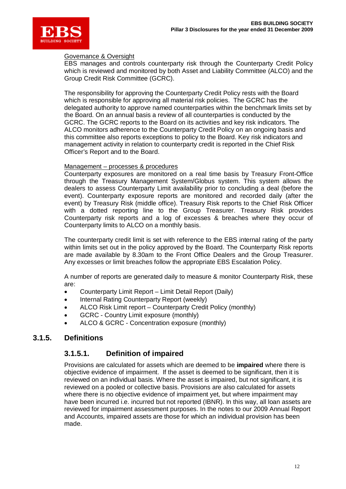

### Governance & Oversight

EBS manages and controls counterparty risk through the Counterparty Credit Policy which is reviewed and monitored by both Asset and Liability Committee (ALCO) and the Group Credit Risk Committee (GCRC).

The responsibility for approving the Counterparty Credit Policy rests with the Board which is responsible for approving all material risk policies. The GCRC has the delegated authority to approve named counterparties within the benchmark limits set by the Board. On an annual basis a review of all counterparties is conducted by the GCRC. The GCRC reports to the Board on its activities and key risk indicators. The ALCO monitors adherence to the Counterparty Credit Policy on an ongoing basis and this committee also reports exceptions to policy to the Board. Key risk indicators and management activity in relation to counterparty credit is reported in the Chief Risk Officer's Report and to the Board.

### Management – processes & procedures

Counterparty exposures are monitored on a real time basis by Treasury Front-Office through the Treasury Management System/Globus system. This system allows the dealers to assess Counterparty Limit availability prior to concluding a deal (before the event). Counterparty exposure reports are monitored and recorded daily (after the event) by Treasury Risk (middle office). Treasury Risk reports to the Chief Risk Officer with a dotted reporting line to the Group Treasurer. Treasury Risk provides Counterparty risk reports and a log of excesses & breaches where they occur of Counterparty limits to ALCO on a monthly basis.

The counterparty credit limit is set with reference to the EBS internal rating of the party within limits set out in the policy approved by the Board. The Counterparty Risk reports are made available by 8.30am to the Front Office Dealers and the Group Treasurer. Any excesses or limit breaches follow the appropriate EBS Escalation Policy.

A number of reports are generated daily to measure & monitor Counterparty Risk, these are:

- Counterparty Limit Report Limit Detail Report (Daily)
- Internal Rating Counterparty Report (weekly)
- ALCO Risk Limit report Counterparty Credit Policy (monthly)
- GCRC Country Limit exposure (monthly)
- ALCO & GCRC Concentration exposure (monthly)

### **3.1.5. Definitions**

### **3.1.5.1. Definition of impaired**

Provisions are calculated for assets which are deemed to be **impaired** where there is objective evidence of impairment. If the asset is deemed to be significant, then it is reviewed on an individual basis. Where the asset is impaired, but not significant, it is reviewed on a pooled or collective basis. Provisions are also calculated for assets where there is no objective evidence of impairment yet, but where impairment may have been incurred i.e. incurred but not reported (IBNR). In this way, all loan assets are reviewed for impairment assessment purposes. In the notes to our 2009 Annual Report and Accounts, impaired assets are those for which an individual provision has been made.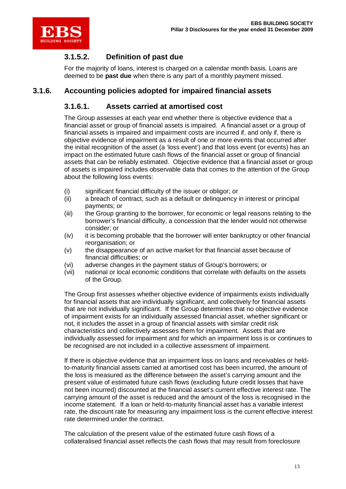

# **3.1.5.2. Definition of past due**

For the majority of loans, interest is charged on a calendar month basis. Loans are deemed to be **past due** when there is any part of a monthly payment missed.

### **3.1.6. Accounting policies adopted for impaired financial assets**

### **3.1.6.1. Assets carried at amortised cost**

The Group assesses at each year end whether there is objective evidence that a financial asset or group of financial assets is impaired. A financial asset or a group of financial assets is impaired and impairment costs are incurred if, and only if, there is objective evidence of impairment as a result of one or more events that occurred after the initial recognition of the asset (a 'loss event') and that loss event (or events) has an impact on the estimated future cash flows of the financial asset or group of financial assets that can be reliably estimated. Objective evidence that a financial asset or group of assets is impaired includes observable data that comes to the attention of the Group about the following loss events:

- (i) significant financial difficulty of the issuer or obligor; or
- (ii) a breach of contract, such as a default or delinquency in interest or principal payments; or
- (iii) the Group granting to the borrower, for economic or legal reasons relating to the borrower's financial difficulty, a concession that the lender would not otherwise consider; or
- (iv) it is becoming probable that the borrower will enter bankruptcy or other financial reorganisation; or
- (v) the disappearance of an active market for that financial asset because of financial difficulties; or
- (vi) adverse changes in the payment status of Group's borrowers; or
- (vii) national or local economic conditions that correlate with defaults on the assets of the Group.

The Group first assesses whether objective evidence of impairments exists individually for financial assets that are individually significant, and collectively for financial assets that are not individually significant. If the Group determines that no objective evidence of impairment exists for an individually assessed financial asset, whether significant or not, it includes the asset in a group of financial assets with similar credit risk characteristics and collectively assesses them for impairment. Assets that are individually assessed for impairment and for which an impairment loss is or continues to be recognised are not included in a collective assessment of impairment.

If there is objective evidence that an impairment loss on loans and receivables or heldto-maturity financial assets carried at amortised cost has been incurred, the amount of the loss is measured as the difference between the asset's carrying amount and the present value of estimated future cash flows (excluding future credit losses that have not been incurred) discounted at the financial asset's current effective interest rate. The carrying amount of the asset is reduced and the amount of the loss is recognised in the income statement. If a loan or held-to-maturity financial asset has a variable interest rate, the discount rate for measuring any impairment loss is the current effective interest rate determined under the contract.

The calculation of the present value of the estimated future cash flows of a collateralised financial asset reflects the cash flows that may result from foreclosure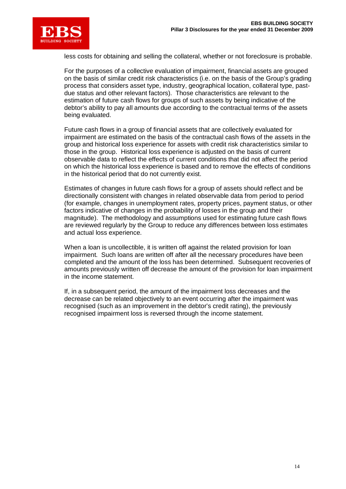

less costs for obtaining and selling the collateral, whether or not foreclosure is probable.

For the purposes of a collective evaluation of impairment, financial assets are grouped on the basis of similar credit risk characteristics (i.e. on the basis of the Group's grading process that considers asset type, industry, geographical location, collateral type, pastdue status and other relevant factors). Those characteristics are relevant to the estimation of future cash flows for groups of such assets by being indicative of the debtor's ability to pay all amounts due according to the contractual terms of the assets being evaluated.

Future cash flows in a group of financial assets that are collectively evaluated for impairment are estimated on the basis of the contractual cash flows of the assets in the group and historical loss experience for assets with credit risk characteristics similar to those in the group. Historical loss experience is adjusted on the basis of current observable data to reflect the effects of current conditions that did not affect the period on which the historical loss experience is based and to remove the effects of conditions in the historical period that do not currently exist.

Estimates of changes in future cash flows for a group of assets should reflect and be directionally consistent with changes in related observable data from period to period (for example, changes in unemployment rates, property prices, payment status, or other factors indicative of changes in the probability of losses in the group and their magnitude). The methodology and assumptions used for estimating future cash flows are reviewed regularly by the Group to reduce any differences between loss estimates and actual loss experience.

When a loan is uncollectible, it is written off against the related provision for loan impairment. Such loans are written off after all the necessary procedures have been completed and the amount of the loss has been determined. Subsequent recoveries of amounts previously written off decrease the amount of the provision for loan impairment in the income statement.

If, in a subsequent period, the amount of the impairment loss decreases and the decrease can be related objectively to an event occurring after the impairment was recognised (such as an improvement in the debtor's credit rating), the previously recognised impairment loss is reversed through the income statement.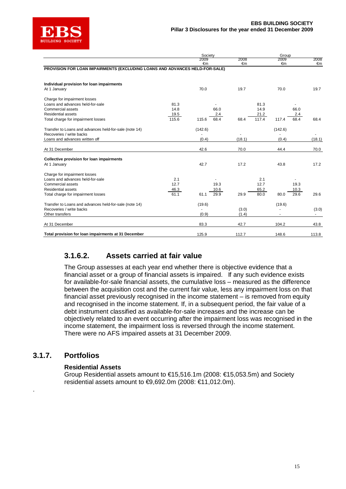

|                                                                             |       | Society |      |            |       | Group   |      |        |
|-----------------------------------------------------------------------------|-------|---------|------|------------|-------|---------|------|--------|
|                                                                             |       | 2009    |      | 2008<br>€m |       | 2009    |      | 2008   |
| PROVISION FOR LOAN IMPAIRMENTS (EXCLUDING LOANS AND ADVANCES HELD-FOR-SALE) |       | €m      |      |            |       | €m      |      | €m     |
| Individual provision for loan impairments                                   |       |         |      |            |       |         |      |        |
| At 1 January                                                                |       | 70.0    |      | 19.7       |       | 70.0    |      | 19.7   |
| Charge for impairment losses                                                |       |         |      |            |       |         |      |        |
| Loans and advances held-for-sale                                            | 81.3  |         |      |            | 81.3  |         |      |        |
| Commercial assets                                                           | 14.8  |         | 66.0 |            | 14.9  |         | 66.0 |        |
| Residential assets                                                          | 19.5  |         | 2.4  |            | 21.2  |         | 2.4  |        |
| Total charge for impairment losses                                          | 115.6 | 115.6   | 68.4 | 68.4       | 117.4 | 117.4   | 68.4 | 68.4   |
| Transfer to Loans and advances held-for-sale (note 14)                      |       | (142.6) |      |            |       | (142.6) |      |        |
| Recoveries / write backs                                                    |       |         |      |            |       |         |      |        |
| Loans and advances written off                                              |       | (0.4)   |      | (18.1)     |       | (0.4)   |      | (18.1) |
| At 31 December                                                              |       | 42.6    |      | 70.0       |       | 44.4    |      | 70.0   |
|                                                                             |       |         |      |            |       |         |      |        |
| Collective provision for loan impairments<br>At 1 January                   |       | 42.7    |      | 17.2       |       | 43.8    |      | 17.2   |
|                                                                             |       |         |      |            |       |         |      |        |
| Charge for impairment losses                                                |       |         |      |            |       |         |      |        |
| Loans and advances held-for-sale                                            | 2.1   |         |      |            | 2.1   |         |      |        |
| Commercial assets                                                           | 12.7  |         | 19.3 |            | 12.7  |         | 19.3 |        |
| Residential assets                                                          | 46.3  |         | 10.6 |            | 65.2  |         | 10.3 |        |
| Total charge for impairment losses                                          | 61.1  | 61.1    | 29.9 | 29.9       | 80.0  | 80.0    | 29.6 | 29.6   |
| Transfer to Loans and advances held-for-sale (note 14)                      |       | (19.6)  |      |            |       | (19.6)  |      |        |
| Recoveries / write backs                                                    |       |         |      | (3.0)      |       |         |      | (3.0)  |
| Other transfers                                                             |       | (0.9)   |      | (1.4)      |       |         |      | ٠      |
| At 31 December                                                              |       | 83.3    |      | 42.7       |       | 104.2   |      | 43.8   |
| Total provision for loan impairments at 31 December                         |       | 125.9   |      | 112.7      |       | 148.6   |      | 113.8  |

### **3.1.6.2. Assets carried at fair value**

The Group assesses at each year end whether there is objective evidence that a financial asset or a group of financial assets is impaired. If any such evidence exists for available-for-sale financial assets, the cumulative loss – measured as the difference between the acquisition cost and the current fair value, less any impairment loss on that financial asset previously recognised in the income statement – is removed from equity and recognised in the income statement. If, in a subsequent period, the fair value of a debt instrument classified as available-for-sale increases and the increase can be objectively related to an event occurring after the impairment loss was recognised in the income statement, the impairment loss is reversed through the income statement. There were no AFS impaired assets at 31 December 2009.

### **3.1.7. Portfolios**

.

### **Residential Assets**

Group Residential assets amount to €15,516.1m (2008: €15,053.5m) and Society residential assets amount to  $\text{€9,692.0m}$  (2008: €11,012.0m).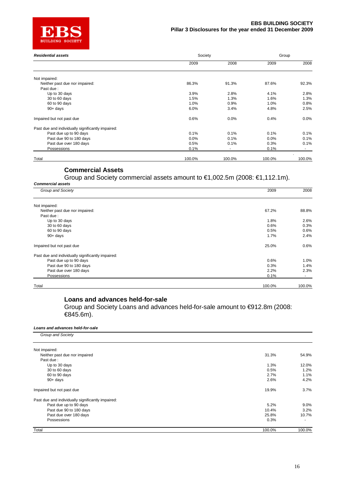

| <b>Residential assets</b>                         | Society | Group  |        |        |
|---------------------------------------------------|---------|--------|--------|--------|
|                                                   | 2009    | 2008   | 2009   | 2008   |
| Not impaired:                                     |         |        |        |        |
| Neither past due nor impaired:                    | 86.3%   | 91.3%  | 87.6%  | 92.3%  |
| Past due:                                         |         |        |        |        |
| Up to 30 days                                     | 3.9%    | 2.8%   | 4.1%   | 2.8%   |
| 30 to 60 days                                     | 1.5%    | 1.3%   | 1.6%   | 1.3%   |
| 60 to 90 days                                     | 1.0%    | 0.9%   | 1.0%   | 0.8%   |
| $90+$ days                                        | 6.0%    | 3.4%   | 4.8%   | 2.5%   |
| Impaired but not past due                         | 0.6%    | 0.0%   | 0.4%   | 0.0%   |
| Past due and individually significantly impaired: |         |        |        |        |
| Past due up to 90 days                            | 0.1%    | 0.1%   | 0.1%   | 0.1%   |
| Past due 90 to 180 days                           | 0.0%    | 0.1%   | 0.0%   | 0.1%   |
| Past due over 180 days                            | 0.5%    | 0.1%   | 0.3%   | 0.1%   |
| Possessions                                       | 0.1%    |        | 0.1%   |        |
| Total                                             | 100.0%  | 100.0% | 100.0% | 100.0% |

### **Commercial Assets**

Group and Society commercial assets amount to €1,002.5m (2008: €1,112.1m).

| Group and Society                                 | 2009   | 2008   |
|---------------------------------------------------|--------|--------|
| Not impaired:                                     |        |        |
| Neither past due nor impaired:                    | 67.2%  | 88.8%  |
| Past due:                                         |        |        |
| Up to 30 days                                     | 1.8%   | 2.6%   |
| 30 to 60 days                                     | 0.6%   | 0.3%   |
| 60 to 90 days                                     | 0.5%   | 0.6%   |
| $90+$ days                                        | 1.7%   | 2.4%   |
| Impaired but not past due                         | 25.0%  | 0.6%   |
| Past due and individually significantly impaired: |        |        |
| Past due up to 90 days                            | 0.6%   | 1.0%   |
| Past due 90 to 180 days                           | 0.3%   | 1.4%   |
| Past due over 180 days                            | 2.2%   | 2.3%   |
| Possessions                                       | 0.1%   | $\sim$ |
| Total                                             | 100.0% | 100.0% |

### **Loans and advances held-for-sale**

Group and Society Loans and advances held-for-sale amount to €912.8m (2008: €845.6m).

### *Loans and advances held-for-sale*

| Group and Society                                 |        |                          |
|---------------------------------------------------|--------|--------------------------|
| Not impaired:                                     |        |                          |
| Neither past due nor impaired                     | 31.3%  | 54.9%                    |
| Past due:                                         |        |                          |
| Up to 30 days                                     | 1.3%   | 12.0%                    |
| 30 to 60 days                                     | 0.5%   | 1.2%                     |
| 60 to 90 days                                     | 2.7%   | 1.1%                     |
| $90+$ days                                        | 2.6%   | 4.2%                     |
| Impaired but not past due                         | 19.9%  | 3.7%                     |
| Past due and individually significantly impaired: |        |                          |
| Past due up to 90 days                            | 5.2%   | $9.0\%$                  |
| Past due 90 to 180 days                           | 10.4%  | 3.2%                     |
| Past due over 180 days                            | 25.8%  | 10.7%                    |
| Possessions                                       | 0.3%   | $\overline{\phantom{a}}$ |
| Total                                             | 100.0% | 100.0%                   |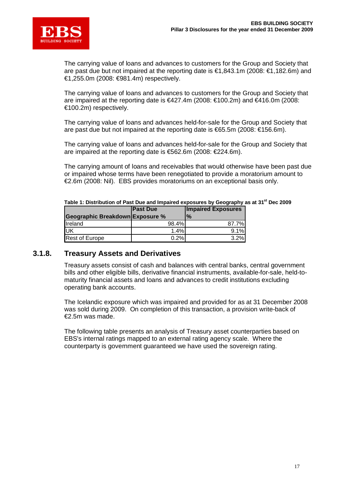

The carrying value of loans and advances to customers for the Group and Society that are past due but not impaired at the reporting date is €1,843.1m (2008: €1,182.6m) and €1,255.0m (2008: €981.4m) respectively.

The carrying value of loans and advances to customers for the Group and Society that are impaired at the reporting date is  $€427.4m$  (2008:  $€100.2m$ ) and  $€416.0m$  (2008: €100.2m) respectively.

The carrying value of loans and advances held-for-sale for the Group and Society that are past due but not impaired at the reporting date is €65.5m (2008: €156.6m).

The carrying value of loans and advances held-for-sale for the Group and Society that are impaired at the reporting date is €562.6m (2008: €224.6m).

The carrying amount of loans and receivables that would otherwise have been past due or impaired whose terms have been renegotiated to provide a moratorium amount to €2.6m (2008: Nil). EBS provides moratoriums on an exceptional basis only.

|                                 | <b>Past Due</b><br><b>Impaired Exposures</b> |                |
|---------------------------------|----------------------------------------------|----------------|
| Geographic Breakdown Exposure % |                                              | $\frac{10}{6}$ |
| Ireland                         | 98.4%                                        | 87.7%          |
| luк                             | 1.4%                                         | 9.1%           |
| <b>Rest of Europe</b>           | 0.2%                                         | 3.2%           |

**Table 1: Distribution of Past Due and Impaired exposures by Geography as at 31st Dec 2009**

### **3.1.8. Treasury Assets and Derivatives**

Treasury assets consist of cash and balances with central banks, central government bills and other eligible bills, derivative financial instruments, available-for-sale, held-tomaturity financial assets and loans and advances to credit institutions excluding operating bank accounts.

The Icelandic exposure which was impaired and provided for as at 31 December 2008 was sold during 2009. On completion of this transaction, a provision write-back of €2.5m was made.

The following table presents an analysis of Treasury asset counterparties based on EBS's internal ratings mapped to an external rating agency scale. Where the counterparty is government guaranteed we have used the sovereign rating.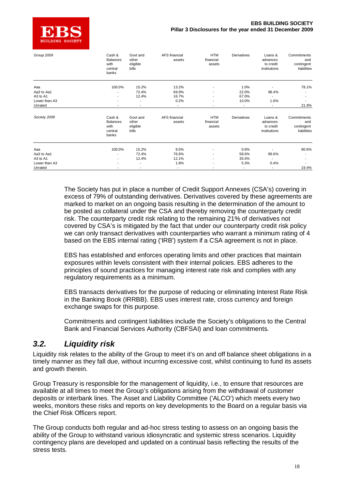

| Group 2009               | Cash &<br><b>Balances</b><br>with<br>central<br>banks | Govt and<br>other<br>eligible<br>bills | AFS financial<br>assets          | <b>HTM</b><br>financial<br>assets                    | Derivatives                       | Loans &<br>advances<br>to credit<br>institutions | Commitments<br>and<br>contingent<br>liabilities |
|--------------------------|-------------------------------------------------------|----------------------------------------|----------------------------------|------------------------------------------------------|-----------------------------------|--------------------------------------------------|-------------------------------------------------|
| Aaa                      | 100.0%                                                | 15.2%                                  | 13.2%                            | $\blacksquare$                                       | 1.0%                              |                                                  | 78.1%                                           |
| Aa3 to Aa1               |                                                       | 72.4%                                  | 69.9%                            |                                                      | 22.0%                             | 98.4%                                            |                                                 |
| A3 to A1                 |                                                       | 12.4%                                  | 16.7%                            | $\overline{\phantom{a}}$                             | 67.0%                             |                                                  |                                                 |
| Lower than A3<br>Unrated | $\overline{\phantom{a}}$<br>$\overline{\phantom{a}}$  | $\overline{\phantom{a}}$               | 0.2%<br>$\overline{\phantom{a}}$ | $\overline{\phantom{a}}$<br>$\overline{\phantom{a}}$ | 10.0%<br>$\overline{\phantom{a}}$ | 1.6%                                             | 21.9%                                           |
| Society 2009             | Cash &<br><b>Balances</b><br>with<br>central<br>banks | Govt and<br>other<br>eligible<br>bills | AFS financial<br>assets          | <b>HTM</b><br>financial<br>assets                    | Derivatives                       | Loans &<br>advances<br>to credit<br>institutions | Commitments<br>and<br>contingent<br>liabilities |
| Aaa                      | 100.0%                                                | 15.2%                                  | 9.5%                             | $\overline{\phantom{a}}$                             | 0.6%                              |                                                  | 80.6%                                           |
| Aa3 to Aa1               |                                                       | 72.4%                                  | 76.6%                            | $\blacksquare$                                       | 58.6%                             | 99.6%                                            |                                                 |
| A3 to A1                 | $\overline{\phantom{a}}$                              | 12.4%                                  | 12.1%                            | $\overline{\phantom{a}}$                             | 35.5%                             |                                                  |                                                 |
| Lower than A3            |                                                       |                                        | 1.8%                             |                                                      | 5.3%                              | 0.4%                                             | $\blacksquare$                                  |
| Unrated                  |                                                       |                                        |                                  |                                                      | $\overline{\phantom{a}}$          |                                                  | 19.4%                                           |

The Society has put in place a number of Credit Support Annexes (CSA's) covering in excess of 79% of outstanding derivatives. Derivatives covered by these agreements are marked to market on an ongoing basis resulting in the determination of the amount to be posted as collateral under the CSA and thereby removing the counterparty credit risk. The counterparty credit risk relating to the remaining 21% of derivatives not covered by CSA's is mitigated by the fact that under our counterparty credit risk policy we can only transact derivatives with counterparties who warrant a minimum rating of 4 based on the EBS internal rating ('IRB') system if a CSA agreement is not in place.

EBS has established and enforces operating limits and other practices that maintain exposures within levels consistent with their internal policies. EBS adheres to the principles of sound practices for managing interest rate risk and complies with any regulatory requirements as a minimum.

EBS transacts derivatives for the purpose of reducing or eliminating Interest Rate Risk in the Banking Book (IRRBB). EBS uses interest rate, cross currency and foreign exchange swaps for this purpose.

Commitments and contingent liabilities include the Society's obligations to the Central Bank and Financial Services Authority (CBFSAI) and loan commitments.

### *3.2. Liquidity risk*

Liquidity risk relates to the ability of the Group to meet it's on and off balance sheet obligations in a timely manner as they fall due, without incurring excessive cost, whilst continuing to fund its assets and growth therein.

Group Treasury is responsible for the management of liquidity, i.e., to ensure that resources are available at all times to meet the Group's obligations arising from the withdrawal of customer deposits or interbank lines. The Asset and Liability Committee ('ALCO') which meets every two weeks, monitors these risks and reports on key developments to the Board on a regular basis via the Chief Risk Officers report.

The Group conducts both regular and ad-hoc stress testing to assess on an ongoing basis the ability of the Group to withstand various idiosyncratic and systemic stress scenarios. Liquidity contingency plans are developed and updated on a continual basis reflecting the results of the stress tests.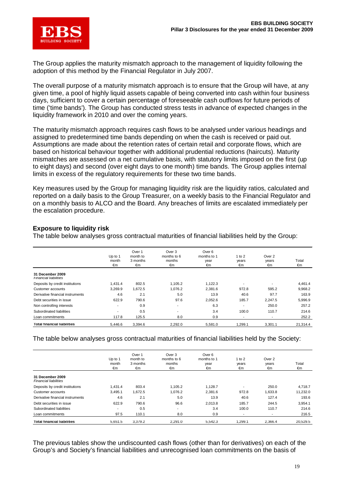

The Group applies the maturity mismatch approach to the management of liquidity following the adoption of this method by the Financial Regulator in July 2007.

The overall purpose of a maturity mismatch approach is to ensure that the Group will have, at any given time, a pool of highly liquid assets capable of being converted into cash within four business days, sufficient to cover a certain percentage of foreseeable cash outflows for future periods of time ('time bands'). The Group has conducted stress tests in advance of expected changes in the liquidity framework in 2010 and over the coming years.

The maturity mismatch approach requires cash flows to be analysed under various headings and assigned to predetermined time bands depending on when the cash is received or paid out. Assumptions are made about the retention rates of certain retail and corporate flows, which are based on historical behaviour together with additional prudential reductions (haircuts). Maturity mismatches are assessed on a net cumulative basis, with statutory limits imposed on the first (up to eight days) and second (over eight days to one month) time bands. The Group applies internal limits in excess of the regulatory requirements for these two time bands.

Key measures used by the Group for managing liquidity risk are the liquidity ratios, calculated and reported on a daily basis to the Group Treasurer, on a weekly basis to the Financial Regulator and on a monthly basis to ALCO and the Board. Any breaches of limits are escalated immediately per the escalation procedure.

### **Exposure to liquidity risk**

The table below analyses gross contractual maturities of financial liabilities held by the Group:

|                                                  | Up to $1$<br>month<br>€m | Over 1<br>month to<br>3 months<br>€m | Over 3<br>months to 6<br>months<br>€m | Over 6<br>months to 1<br>year<br>€m | 1 to $2$<br>years<br>€m  | Over 2<br>years<br>€m    | Total<br>€m |
|--------------------------------------------------|--------------------------|--------------------------------------|---------------------------------------|-------------------------------------|--------------------------|--------------------------|-------------|
| 31 December 2009<br><b>Financial liabilities</b> |                          |                                      |                                       |                                     |                          |                          |             |
| Deposits by credit institutions                  | 1.431.4                  | 802.5                                | 1.105.2                               | 1,122.3                             | $\overline{\phantom{a}}$ | $\overline{\phantom{a}}$ | 4.461.4     |
| Customer accounts                                | 3,269.9                  | 1.672.5                              | 1.076.2                               | 2.381.6                             | 972.8                    | 595.2                    | 9,968.2     |
| Derivative financial instruments                 | 4.6                      | 2.1                                  | 5.0                                   | 13.9                                | 40.6                     | 97.7                     | 163.9       |
| Debt securities in issue                         | 622.9                    | 790.6                                | 97.6                                  | 2,052.6                             | 185.7                    | 2,247.5                  | 5,996.9     |
| Non controlling interests                        | $\overline{\phantom{a}}$ | 0.9                                  | $\overline{\phantom{a}}$              | 6.3                                 | ۰.                       | 250.0                    | 257.2       |
| Subordinated liabilities                         | $\blacksquare$           | 0.5                                  | $\overline{\phantom{a}}$              | 3.4                                 | 100.0                    | 110.7                    | 214.6       |
| Loan commitments                                 | 117.8                    | 125.5                                | 8.0                                   | 0.9                                 | $\overline{\phantom{a}}$ | $\overline{\phantom{a}}$ | 252.2       |
| <b>Total financial liabilities</b>               | 5.446.6                  | 3,394.6                              | 2,292.0                               | 5.581.0                             | 1.299.1                  | 3,301.1                  | 21,314.4    |

The table below analyses gross contractual maturities of financial liabilities held by the Society:

|                                                  | Up to $1$<br>month<br>€m | Over 1<br>month to<br>3 months<br>€m | Over 3<br>months to 6<br>months<br>€m | Over 6<br>months to 1<br>year<br>€m | 1 to $2$<br>years<br>€m  | Over 2<br>years<br>€m    | Total<br>€m |
|--------------------------------------------------|--------------------------|--------------------------------------|---------------------------------------|-------------------------------------|--------------------------|--------------------------|-------------|
| 31 December 2009<br><b>Financial liabilities</b> |                          |                                      |                                       |                                     |                          |                          |             |
| Deposits by credit institutions                  | 1.431.4                  | 803.4                                | 1.105.2                               | 1.128.7                             | ۰                        | 250.0                    | 4,718.7     |
| Customer accounts                                | 3.495.1                  | 1.672.5                              | 1.076.2                               | 2.381.6                             | 972.8                    | 1.633.8                  | 11.232.0    |
| Derivative financial instruments                 | 4.6                      | 2.1                                  | 5.0                                   | 13.9                                | 40.6                     | 127.4                    | 193.6       |
| Debt securities in issue                         | 622.9                    | 790.6                                | 96.6                                  | 2.013.8                             | 185.7                    | 244.5                    | 3,954.1     |
| Subordinated liabilities                         | $\overline{\phantom{a}}$ | 0.5                                  | $\overline{\phantom{a}}$              | 3.4                                 | 100.0                    | 110.7                    | 214.6       |
| Loan commitments                                 | 97.5                     | 110.1                                | 8.0                                   | 0.9                                 | $\overline{\phantom{a}}$ | $\overline{\phantom{a}}$ | 216.5       |
| <b>Total financial liabilities</b>               | 5.651.5                  | 3.379.2                              | 2,291.0                               | 5.542.3                             | 1,299.1                  | 2.366.4                  | 20,529.5    |

The previous tables show the undiscounted cash flows (other than for derivatives) on each of the Group's and Society's financial liabilities and unrecognised loan commitments on the basis of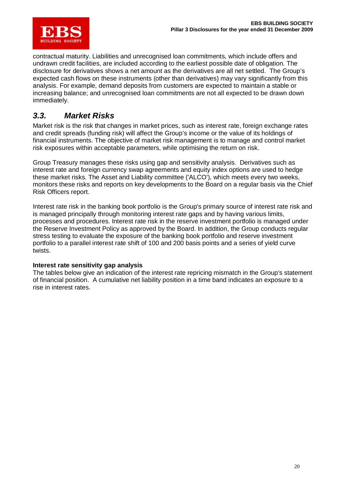

contractual maturity. Liabilities and unrecognised loan commitments, which include offers and undrawn credit facilities, are included according to the earliest possible date of obligation. The disclosure for derivatives shows a net amount as the derivatives are all net settled. The Group's expected cash flows on these instruments (other than derivatives) may vary significantly from this analysis. For example, demand deposits from customers are expected to maintain a stable or increasing balance; and unrecognised loan commitments are not all expected to be drawn down immediately.

## *3.3. Market Risks*

Market risk is the risk that changes in market prices, such as interest rate, foreign exchange rates and credit spreads (funding risk) will affect the Group's income or the value of its holdings of financial instruments. The objective of market risk management is to manage and control market risk exposures within acceptable parameters, while optimising the return on risk.

Group Treasury manages these risks using gap and sensitivity analysis. Derivatives such as interest rate and foreign currency swap agreements and equity index options are used to hedge these market risks. The Asset and Liability committee ('ALCO'), which meets every two weeks, monitors these risks and reports on key developments to the Board on a regular basis via the Chief Risk Officers report.

Interest rate risk in the banking book portfolio is the Group's primary source of interest rate risk and is managed principally through monitoring interest rate gaps and by having various limits, processes and procedures. Interest rate risk in the reserve investment portfolio is managed under the Reserve Investment Policy as approved by the Board. In addition, the Group conducts regular stress testing to evaluate the exposure of the banking book portfolio and reserve investment portfolio to a parallel interest rate shift of 100 and 200 basis points and a series of yield curve twists.

### **Interest rate sensitivity gap analysis**

The tables below give an indication of the interest rate repricing mismatch in the Group's statement of financial position. A cumulative net liability position in a time band indicates an exposure to a rise in interest rates.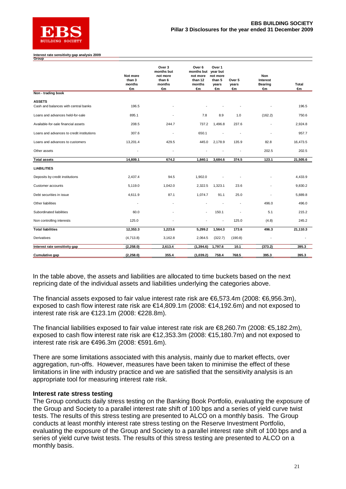

#### **Interest rate sensitivity gap analysis 2009 Group**

|                                                       | Not more<br>than 3<br>months<br>€m | Over 3<br>months but<br>not more<br>than 6<br>months<br>€m | Over 6<br>months but<br>not more<br>than 12<br>months<br>€m | Over 1<br>year but<br>not more<br>than 5<br>years<br>€π | Over 5<br>years<br>€m | Non<br>Interest<br>Bearing<br>€m | Total<br>€m |
|-------------------------------------------------------|------------------------------------|------------------------------------------------------------|-------------------------------------------------------------|---------------------------------------------------------|-----------------------|----------------------------------|-------------|
| Non - trading book                                    |                                    |                                                            |                                                             |                                                         |                       |                                  |             |
| <b>ASSETS</b><br>Cash and balances with central banks | 196.5                              |                                                            |                                                             |                                                         |                       |                                  | 196.5       |
| Loans and advances held-for-sale                      | 895.1                              |                                                            | 7.8                                                         | 8.9                                                     | 1.0                   | (162.2)                          | 750.6       |
| Available-for-sale financial assets                   | 208.5                              | 244.7                                                      | 737.2                                                       | 1,496.8                                                 | 237.6                 | ÷.                               | 2,924.8     |
| Loans and advances to credit institutions             | 307.6                              | $\overline{\phantom{a}}$                                   | 650.1                                                       |                                                         |                       | ÷.                               | 957.7       |
| Loans and advances to customers                       | 13,201.4                           | 429.5                                                      | 445.0                                                       | 2,178.9                                                 | 135.9                 | 82.8                             | 16,473.5    |
| Other assets                                          |                                    |                                                            |                                                             |                                                         |                       | 202.5                            | 202.5       |
| <b>Total assets</b>                                   | 14,809.1                           | 674.2                                                      | 1,840.1                                                     | 3,684.6                                                 | 374.5                 | 123.1                            | 21,505.6    |
| <b>LIABILITIES</b>                                    |                                    |                                                            |                                                             |                                                         |                       |                                  |             |
| Deposits by credit institutions                       | 2,437.4                            | 94.5                                                       | 1,902.0                                                     |                                                         |                       |                                  | 4,433.9     |
| Customer accounts                                     | 5,119.0                            | 1,042.0                                                    | 2,322.5                                                     | 1,323.1                                                 | 23.6                  |                                  | 9,830.2     |
| Debt securities in issue                              | 4,611.9                            | 87.1                                                       | 1,074.7                                                     | 91.1                                                    | 25.0                  | $\overline{\phantom{a}}$         | 5,889.8     |
| Other liabilities                                     | $\blacksquare$                     |                                                            |                                                             |                                                         |                       | 496.0                            | 496.0       |
| Subordinated liabilities                              | 60.0                               |                                                            | ÷                                                           | 150.1                                                   |                       | 5.1                              | 215.2       |
| Non controlling interests                             | 125.0                              |                                                            |                                                             | $\overline{\phantom{a}}$                                | 125.0                 | (4.8)                            | 245.2       |
| <b>Total liabilities</b>                              | 12,353.3                           | 1,223.6                                                    | 5,299.2                                                     | 1,564.3                                                 | 173.6                 | 496.3                            | 21,110.3    |
| Derivatives                                           | (4, 713.8)                         | 3,162.8                                                    | 2,064.5                                                     | (322.7)                                                 | (190.8)               | ä,                               |             |
| Interest rate sensitivity gap                         | (2, 258.0)                         | 2,613.4                                                    | (1, 394.6)                                                  | 1,797.6                                                 | 10.1                  | (373.2)                          | 395.3       |
| Cumulative gap                                        | (2, 258.0)                         | 355.4                                                      | (1,039.2)                                                   | 758.4                                                   | 768.5                 | 395.3                            | 395.3       |

In the table above, the assets and liabilities are allocated to time buckets based on the next repricing date of the individual assets and liabilities underlying the categories above.

The financial assets exposed to fair value interest rate risk are €6,573.4m (2008: €6,956.3m), exposed to cash flow interest rate risk are €14,809.1m (2008: €14,192.6m) and not exposed to interest rate risk are €123.1m (2008: €228.8m).

The financial liabilities exposed to fair value interest rate risk are €8,260.7m (2008: €5,182.2m), exposed to cash flow interest rate risk are €12,353.3m (2008: €15,180.7m) and not exposed to interest rate risk are €496.3m (2008: €591.6m).

There are some limitations associated with this analysis, mainly due to market effects, over aggregation, run-offs. However, measures have been taken to minimise the effect of these limitations in line with industry practice and we are satisfied that the sensitivity analysis is an appropriate tool for measuring interest rate risk.

### **Interest rate stress testing**

The Group conducts daily stress testing on the Banking Book Portfolio, evaluating the exposure of the Group and Society to a parallel interest rate shift of 100 bps and a series of yield curve twist tests. The results of this stress testing are presented to ALCO on a monthly basis. The Group conducts at least monthly interest rate stress testing on the Reserve Investment Portfolio, evaluating the exposure of the Group and Society to a parallel interest rate shift of 100 bps and a series of yield curve twist tests. The results of this stress testing are presented to ALCO on a monthly basis.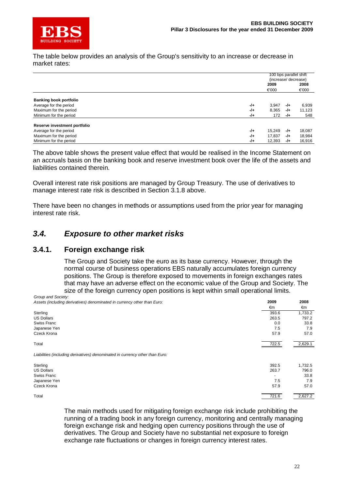

The table below provides an analysis of the Group's sensitivity to an increase or decrease in market rates:

|                               |       | 100 bps parallel shift |       |        |
|-------------------------------|-------|------------------------|-------|--------|
|                               |       | (increase/ decrease)   |       |        |
|                               |       | 2009                   |       | 2008   |
|                               |       | €000                   |       | €000   |
| <b>Banking book portfolio</b> |       |                        |       |        |
| Average for the period        | $-1+$ | 3,947                  | $-1+$ | 6,939  |
| Maximum for the period        | $-1+$ | 8,365                  | -/+   | 11,123 |
| Minimum for the period        | $-1+$ | 172                    | -/+   | 548    |
| Reserve investment portfolio  |       |                        |       |        |
| Average for the period        | -/+   | 15.249                 | -/+   | 18,087 |
| Maximum for the period        | $-1+$ | 17,837                 | -/+   | 18,984 |
| Minimum for the period        | -/+   | 12,393                 | -/+   | 16,916 |

The above table shows the present value effect that would be realised in the Income Statement on an accruals basis on the banking book and reserve investment book over the life of the assets and liabilities contained therein.

Overall interest rate risk positions are managed by Group Treasury. The use of derivatives to manage interest rate risk is described in Section 3.1.8 above.

There have been no changes in methods or assumptions used from the prior year for managing interest rate risk.

### *3.4. Exposure to other market risks*

### **3.4.1. Foreign exchange risk**

The Group and Society take the euro as its base currency. However, through the normal course of business operations EBS naturally accumulates foreign currency positions. The Group is therefore exposed to movements in foreign exchanges rates that may have an adverse effect on the economic value of the Group and Society. The size of the foreign currency open positions is kept within small operational limits.

*Group and Society: Assets (including derivatives) denominated in currency other than Euro:* **2009 2008**

| Assets (including derivatives) denominated in currency other trian Edio.     | LUVJ  | ZUUU    |
|------------------------------------------------------------------------------|-------|---------|
|                                                                              | €m    | €m      |
| Sterling                                                                     | 393.6 | 1,733.2 |
| <b>US Dollars</b>                                                            | 263.5 | 797.2   |
| Swiss Franc                                                                  | 0.0   | 33.8    |
| Japanese Yen                                                                 | 7.5   | 7.9     |
| Czeck Krona                                                                  | 57.9  | 57.0    |
| Total                                                                        | 722.5 | 2,629.1 |
| Liabilities (including derivatives) denominated in currency other than Euro: |       |         |
| Sterling                                                                     | 392.5 | 1,732.5 |
| <b>US Dollars</b>                                                            | 263.7 | 796.0   |
| Swiss Franc                                                                  |       | 33.8    |
| Japanese Yen                                                                 | 7.5   | 7.9     |
| Czeck Krona                                                                  | 57.9  | 57.0    |
| Total                                                                        | 721.6 | 2,627.2 |

The main methods used for mitigating foreign exchange risk include prohibiting the running of a trading book in any foreign currency, monitoring and centrally managing foreign exchange risk and hedging open currency positions through the use of derivatives. The Group and Society have no substantial net exposure to foreign exchange rate fluctuations or changes in foreign currency interest rates.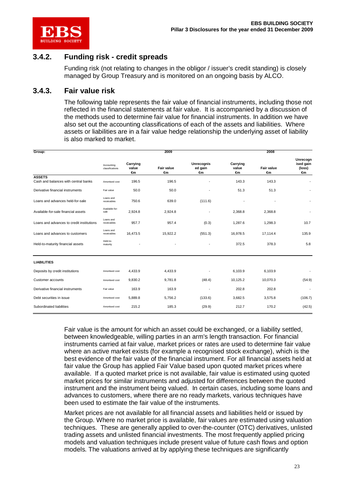

## **3.4.2. Funding risk - credit spreads**

Funding risk (not relating to changes in the obligor / issuer's credit standing) is closely managed by Group Treasury and is monitored on an ongoing basis by ALCO.

### **3.4.3. Fair value risk**

The following table represents the fair value of financial instruments, including those not reflected in the financial statements at fair value. It is accompanied by a discussion of the methods used to determine fair value for financial instruments. In addition we have also set out the accounting classifications of each of the assets and liabilities. Where assets or liabilities are in a fair value hedge relationship the underlying asset of liability is also marked to market.

| Group:                                                |                               |                         | 2009                    |                             |                         | 2008                    |                                       |
|-------------------------------------------------------|-------------------------------|-------------------------|-------------------------|-----------------------------|-------------------------|-------------------------|---------------------------------------|
|                                                       | Accounting<br>classifications | Carrying<br>value<br>€m | <b>Fair value</b><br>€m | Unrecognis<br>ed gain<br>€m | Carrying<br>value<br>€m | <b>Fair value</b><br>€m | Unrecogn<br>ised gain<br>(loss)<br>€m |
| <b>ASSETS</b><br>Cash and balances with central banks | Amortised cost                | 196.5                   | 196.5                   |                             | 143.3                   | 143.3                   |                                       |
| Derivative financial instruments                      | Fair value                    | 50.0                    | 50.0                    | ÷                           | 51.3                    | 51.3                    |                                       |
| Loans and advances held-for-sale                      | Loans and<br>receivables      | 750.6                   | 639.0                   | (111.6)                     |                         |                         |                                       |
| Available-for-sale financial assets                   | Available-for-<br>sale        | 2,924.8                 | 2,924.8                 |                             | 2,368.8                 | 2,368.8                 |                                       |
| Loans and advances to credit institutions             | Loans and<br>receivables      | 957.7                   | 957.4                   | (0.3)                       | 1,287.6                 | 1,298.3                 | 10.7                                  |
| Loans and advances to customers                       | Loans and<br>receivables      | 16,473.5                | 15,922.2                | (551.3)                     | 16,978.5                | 17,114.4                | 135.9                                 |
| Held-to-maturity financial assets                     | Held-to-<br>maturity          |                         |                         |                             | 372.5                   | 378.3                   | 5.8                                   |
| <b>LIABILITIES</b>                                    |                               |                         |                         |                             |                         |                         |                                       |
| Deposits by credit institutions                       | Amortised cost                | 4,433.9                 | 4,433.9                 |                             | 6,103.9                 | 6,103.9                 |                                       |
| Customer accounts                                     | Amortised cost                | 9,830.2                 | 9,781.8                 | (48.4)                      | 10,125.2                | 10,070.3                | (54.9)                                |
| Derivative financial instruments                      | Fair value                    | 163.9                   | 163.9                   | $\overline{\phantom{a}}$    | 202.8                   | 202.8                   | $\blacksquare$                        |
| Debt securities in issue                              | Amortised cost                | 5.889.8                 | 5,756.2                 | (133.6)                     | 3,682.5                 | 3,575.8                 | (106.7)                               |
| Subordinated liabilities                              | Amortised cost                | 215.2                   | 185.3                   | (29.9)                      | 212.7                   | 170.2                   | (42.5)                                |

Fair value is the amount for which an asset could be exchanged, or a liability settled, between knowledgeable, willing parties in an arm's length transaction. For financial instruments carried at fair value, market prices or rates are used to determine fair value where an active market exists (for example a recognised stock exchange), which is the best evidence of the fair value of the financial instrument. For all financial assets held at fair value the Group has applied Fair Value based upon quoted market prices where available. If a quoted market price is not available, fair value is estimated using quoted market prices for similar instruments and adjusted for differences between the quoted instrument and the instrument being valued. In certain cases, including some loans and advances to customers, where there are no ready markets, various techniques have been used to estimate the fair value of the instruments.

Market prices are not available for all financial assets and liabilities held or issued by the Group. Where no market price is available, fair values are estimated using valuation techniques. These are generally applied to over-the-counter (OTC) derivatives, unlisted trading assets and unlisted financial investments. The most frequently applied pricing models and valuation techniques include present value of future cash flows and option models. The valuations arrived at by applying these techniques are significantly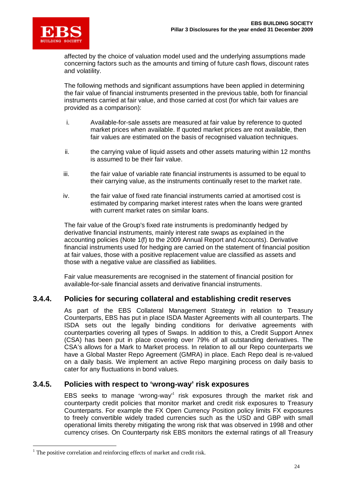

affected by the choice of valuation model used and the underlying assumptions made concerning factors such as the amounts and timing of future cash flows, discount rates and volatility.

The following methods and significant assumptions have been applied in determining the fair value of financial instruments presented in the previous table, both for financial instruments carried at fair value, and those carried at cost (for which fair values are provided as a comparison):

- i. Available-for-sale assets are measured at fair value by reference to quoted market prices when available. If quoted market prices are not available, then fair values are estimated on the basis of recognised valuation techniques.
- ii. the carrying value of liquid assets and other assets maturing within 12 months is assumed to be their fair value.
- iii. the fair value of variable rate financial instruments is assumed to be equal to their carrying value, as the instruments continually reset to the market rate.
- iv. the fair value of fixed rate financial instruments carried at amortised cost is estimated by comparing market interest rates when the loans were granted with current market rates on similar loans.

The fair value of the Group's fixed rate instruments is predominantly hedged by derivative financial instruments, mainly interest rate swaps as explained in the accounting policies (Note 1(f) to the 2009 Annual Report and Accounts). Derivative financial instruments used for hedging are carried on the statement of financial position at fair values, those with a positive replacement value are classified as assets and those with a negative value are classified as liabilities.

Fair value measurements are recognised in the statement of financial position for available-for-sale financial assets and derivative financial instruments.

### **3.4.4. Policies for securing collateral and establishing credit reserves**

As part of the EBS Collateral Management Strategy in relation to Treasury Counterparts, EBS has put in place ISDA Master Agreements with all counterparts. The ISDA sets out the legally binding conditions for derivative agreements with counterparties covering all types of Swaps. In addition to this, a Credit Support Annex (CSA) has been put in place covering over 79% of all outstanding derivatives. The CSA's allows for a Mark to Market process. In relation to all our Repo counterparts we have a Global Master Repo Agreement (GMRA) in place. Each Repo deal is re-valued on a daily basis. We implement an active Repo margining process on daily basis to cater for any fluctuations in bond values.

### **3.4.5. Policies with respect to 'wrong-way' risk exposures**

EBS seeks to manage 'wrong-way'<sup>1</sup> risk exposures through the market risk and counterparty credit policies that monitor market and credit risk exposures to Treasury Counterparts. For example the FX Open Currency Position policy limits FX exposures to freely convertible widely traded currencies such as the USD and GBP with small operational limits thereby mitigating the wrong risk that was observed in 1998 and other currency crises. On Counterparty risk EBS monitors the external ratings of all Treasury

<sup>&</sup>lt;sup>1</sup> The positive correlation and reinforcing effects of market and credit risk.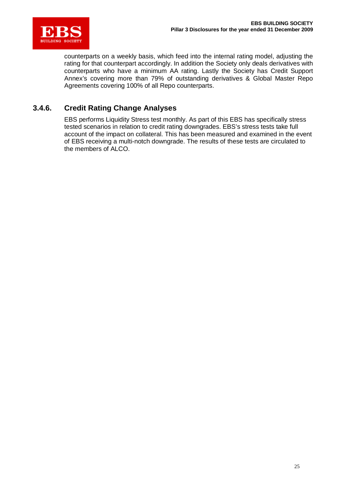

counterparts on a weekly basis, which feed into the internal rating model, adjusting the rating for that counterpart accordingly. In addition the Society only deals derivatives with counterparts who have a minimum AA rating. Lastly the Society has Credit Support Annex's covering more than 79% of outstanding derivatives & Global Master Repo Agreements covering 100% of all Repo counterparts.

### **3.4.6. Credit Rating Change Analyses**

EBS performs Liquidity Stress test monthly. As part of this EBS has specifically stress tested scenarios in relation to credit rating downgrades. EBS's stress tests take full account of the impact on collateral. This has been measured and examined in the event of EBS receiving a multi-notch downgrade. The results of these tests are circulated to the members of ALCO.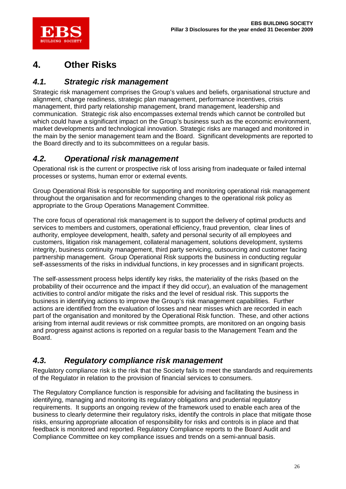

# **4. Other Risks**

# *4.1. Strategic risk management*

Strategic risk management comprises the Group's values and beliefs, organisational structure and alignment, change readiness, strategic plan management, performance incentives, crisis management, third party relationship management, brand management, leadership and communication. Strategic risk also encompasses external trends which cannot be controlled but which could have a significant impact on the Group's business such as the economic environment, market developments and technological innovation. Strategic risks are managed and monitored in the main by the senior management team and the Board. Significant developments are reported to the Board directly and to its subcommittees on a regular basis.

# *4.2. Operational risk management*

Operational risk is the current or prospective risk of loss arising from inadequate or failed internal processes or systems, human error or external events.

Group Operational Risk is responsible for supporting and monitoring operational risk management throughout the organisation and for recommending changes to the operational risk policy as appropriate to the Group Operations Management Committee.

The core focus of operational risk management is to support the delivery of optimal products and services to members and customers, operational efficiency, fraud prevention, clear lines of authority, employee development, health, safety and personal security of all employees and customers, litigation risk management, collateral management, solutions development, systems integrity, business continuity management, third party servicing, outsourcing and customer facing partnership management. Group Operational Risk supports the business in conducting regular self-assessments of the risks in individual functions, in key processes and in significant projects.

The self-assessment process helps identify key risks, the materiality of the risks (based on the probability of their occurrence and the impact if they did occur), an evaluation of the management activities to control and/or mitigate the risks and the level of residual risk. This supports the business in identifying actions to improve the Group's risk management capabilities. Further actions are identified from the evaluation of losses and near misses which are recorded in each part of the organisation and monitored by the Operational Risk function. These, and other actions arising from internal audit reviews or risk committee prompts, are monitored on an ongoing basis and progress against actions is reported on a regular basis to the Management Team and the Board.

# *4.3. Regulatory compliance risk management*

Regulatory compliance risk is the risk that the Society fails to meet the standards and requirements of the Regulator in relation to the provision of financial services to consumers.

The Regulatory Compliance function is responsible for advising and facilitating the business in identifying, managing and monitoring its regulatory obligations and prudential regulatory requirements. It supports an ongoing review of the framework used to enable each area of the business to clearly determine their regulatory risks, identify the controls in place that mitigate those risks, ensuring appropriate allocation of responsibility for risks and controls is in place and that feedback is monitored and reported. Regulatory Compliance reports to the Board Audit and Compliance Committee on key compliance issues and trends on a semi-annual basis.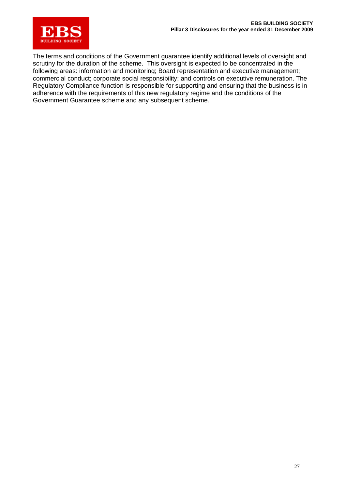

The terms and conditions of the Government guarantee identify additional levels of oversight and scrutiny for the duration of the scheme. This oversight is expected to be concentrated in the following areas: information and monitoring; Board representation and executive management; commercial conduct; corporate social responsibility; and controls on executive remuneration. The Regulatory Compliance function is responsible for supporting and ensuring that the business is in adherence with the requirements of this new regulatory regime and the conditions of the Government Guarantee scheme and any subsequent scheme.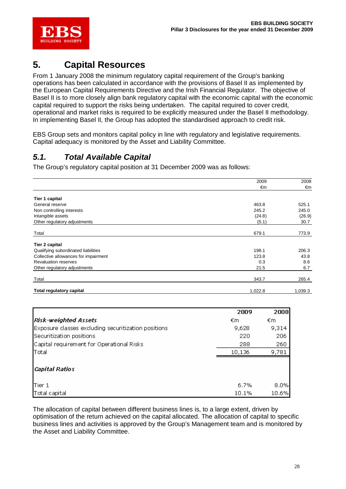

# **5. Capital Resources**

From 1 January 2008 the minimum regulatory capital requirement of the Group's banking operations has been calculated in accordance with the provisions of Basel II as implemented by the European Capital Requirements Directive and the Irish Financial Regulator. The objective of Basel II is to more closely align bank regulatory capital with the economic capital with the economic capital required to support the risks being undertaken. The capital required to cover credit, operational and market risks is required to be explicitly measured under the Basel II methodology. In implementing Basel II, the Group has adopted the standardised approach to credit risk.

EBS Group sets and monitors capital policy in line with regulatory and legislative requirements. Capital adequacy is monitored by the Asset and Liability Committee.

## *5.1. Total Available Capital*

The Group's regulatory capital position at 31 December 2009 was as follows:

|                                      | 2009    | 2008    |
|--------------------------------------|---------|---------|
|                                      | €m      | €m      |
|                                      |         |         |
| Tier 1 capital                       |         |         |
| General reserve                      | 463.8   | 525.1   |
| Non controlling interests            | 245.2   | 245.0   |
| Intangible assets                    | (24.8)  | (26.9)  |
| Other regulatory adjustments         | (5.1)   | 30.7    |
| Total                                | 679.1   | 773.9   |
| Tier 2 capital                       |         |         |
|                                      |         |         |
| Qualifying subordinated liabilities  | 198.1   | 206.3   |
| Collective allowances for impairment | 123.8   | 43.8    |
| <b>Revaluation reserves</b>          | 0.3     | 8.6     |
| Other regulatory adjustments         | 21.5    | 6.7     |
| Total                                | 343.7   | 265.4   |
| <b>Total regulatory capital</b>      | 1,022.8 | 1,039.3 |

|                                                     | 2009   | 2008  |
|-----------------------------------------------------|--------|-------|
| <b>Risk-weighted Assets</b>                         | €m     | €m    |
| Exposure classes excluding securitization positions | 9,628  | 9,314 |
| Securitization positions                            | 220    | 206   |
| Capital requirement for Operational Risks           | 288    | 260   |
| Total                                               | 10,136 | 9,781 |
| <b>Capital Ratios</b>                               |        |       |
| Tier 1                                              | 6.7%   | 8.0%  |
| Total capital                                       | 10.1%  | 10.6% |

The allocation of capital between different business lines is, to a large extent, driven by optimisation of the return achieved on the capital allocated. The allocation of capital to specific business lines and activities is approved by the Group's Management team and is monitored by the Asset and Liability Committee.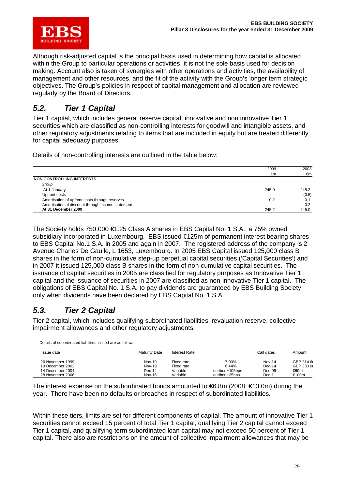

Although risk-adjusted capital is the principal basis used in determining how capital is allocated within the Group to particular operations or activities, it is not the sole basis used for decision making. Account also is taken of synergies with other operations and activities, the availability of management and other resources, and the fit of the activity with the Group's longer term strategic objectives. The Group's policies in respect of capital management and allocation are reviewed regularly by the Board of Directors.

## *5.2. Tier 1 Capital*

Tier 1 capital, which includes general reserve capital, innovative and non innovative Tier 1 securities which are classified as non-controlling interests for goodwill and intangible assets, and other regulatory adjustments relating to items that are included in equity but are treated differently for capital adequacy purposes.

Details of non-controlling interests are outlined in the table below:

|                                                   | 2009  | 2008  |
|---------------------------------------------------|-------|-------|
|                                                   | €m    | €m    |
| <b>NON CONTROLLING INTERESTS</b>                  |       |       |
| Group                                             |       |       |
| At 1 January                                      | 245.0 | 245.2 |
| Upfront costs                                     |       | (0.5) |
| Amortisation of upfront costs through reserves    | 0.2   | 0.1   |
| Amortisation of discount through income statement |       | 0.2   |
| At 31 December 2009                               | 245.2 | 245.0 |

The Society holds 750,000 €1.25 Class A shares in EBS Capital No. 1 S.A., a 75% owned subsidiary incorporated in Luxembourg. EBS issued €125m of permanent interest bearing shares to EBS Capital No.1 S.A. in 2005 and again in 2007. The registered address of the company is 2 Avenue Charles De Gaulle, L 1653, Luxembourg. In 2005 EBS Capital issued 125,000 class B shares in the form of non-cumulative step-up perpetual capital securities ('Capital Securities') and in 2007 it issued 125,000 class B shares in the form of non-cumulative capital securities. The issuance of capital securities in 2005 are classified for regulatory purposes as Innovative Tier 1 capital and the issuance of securities in 2007 are classified as non-innovative Tier 1 capital. The obligations of EBS Capital No. 1 S.A. to pay dividends are guaranteed by EBS Building Society only when dividends have been declared by EBS Capital No. 1 S.A.

# *5.3. Tier 2 Capital*

Details of subordinated liabilities issued are as follows:

Tier 2 capital, which includes qualifying subordinated liabilities, revaluation reserve, collective impairment allowances and other regulatory adjustments.

| Delaiis Of Supplymated liabilities issued are as follows. |                      |               |                 |               |           |
|-----------------------------------------------------------|----------------------|---------------|-----------------|---------------|-----------|
| Issue date                                                | <b>Maturity Date</b> | Interest Rate |                 | Call dates    | Amount    |
| 26 November 1999                                          | Nov-19               | Fixed rate    | 7.00%           | <b>Nov-14</b> | GBP £14.6 |
| 19 December 2002                                          | Nov-19               | Fixed rate    | 6.44%           | $Dec-14$      | GBP £30.0 |
| 14 December 2004                                          | $Dec-14$             | Variable      | euribor +105bps | $Dec-0.9$     | ⊕60m      |
| 28 November 2006                                          | Nov-16               | Variable      | euribor +35bps  | Dec-11        | €100m     |

The interest expense on the subordinated bonds amounted to  $\epsilon$ 6.8m (2008:  $\epsilon$ 13.0m) during the year. There have been no defaults or breaches in respect of subordinated liabilities.

Within these tiers, limits are set for different components of capital. The amount of innovative Tier 1 securities cannot exceed 15 percent of total Tier 1 capital, qualifying Tier 2 capital cannot exceed Tier 1 capital, and qualifying term subordinated loan capital may not exceed 50 percent of Tier 1 capital. There also are restrictions on the amount of collective impairment allowances that may be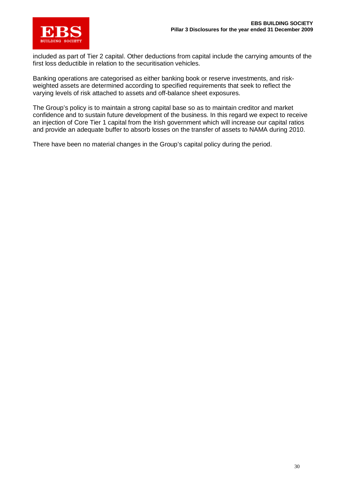

included as part of Tier 2 capital. Other deductions from capital include the carrying amounts of the first loss deductible in relation to the securitisation vehicles.

Banking operations are categorised as either banking book or reserve investments, and riskweighted assets are determined according to specified requirements that seek to reflect the varying levels of risk attached to assets and off-balance sheet exposures.

The Group's policy is to maintain a strong capital base so as to maintain creditor and market confidence and to sustain future development of the business. In this regard we expect to receive an injection of Core Tier 1 capital from the Irish government which will increase our capital ratios and provide an adequate buffer to absorb losses on the transfer of assets to NAMA during 2010.

There have been no material changes in the Group's capital policy during the period.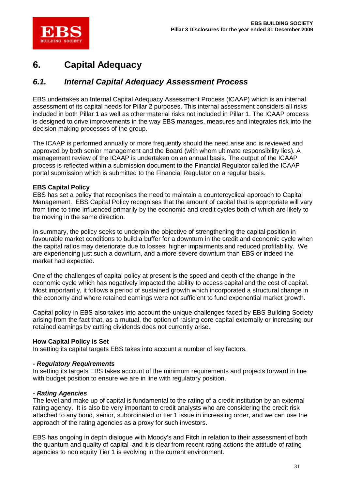

# **6. Capital Adequacy**

## *6.1. Internal Capital Adequacy Assessment Process*

EBS undertakes an Internal Capital Adequacy Assessment Process (ICAAP) which is an internal assessment of its capital needs for Pillar 2 purposes. This internal assessment considers all risks included in both Pillar 1 as well as other material risks not included in Pillar 1. The ICAAP process is designed to drive improvements in the way EBS manages, measures and integrates risk into the decision making processes of the group.

The ICAAP is performed annually or more frequently should the need arise and is reviewed and approved by both senior management and the Board (with whom ultimate responsibility lies). A management review of the ICAAP is undertaken on an annual basis. The output of the ICAAP process is reflected within a submission document to the Financial Regulator called the ICAAP portal submission which is submitted to the Financial Regulator on a regular basis.

### **EBS Capital Policy**

EBS has set a policy that recognises the need to maintain a countercyclical approach to Capital Management. EBS Capital Policy recognises that the amount of capital that is appropriate will vary from time to time influenced primarily by the economic and credit cycles both of which are likely to be moving in the same direction.

In summary, the policy seeks to underpin the objective of strengthening the capital position in favourable market conditions to build a buffer for a downturn in the credit and economic cycle when the capital ratios may deteriorate due to losses, higher impairments and reduced profitability. We are experiencing just such a downturn, and a more severe downturn than EBS or indeed the market had expected.

One of the challenges of capital policy at present is the speed and depth of the change in the economic cycle which has negatively impacted the ability to access capital and the cost of capital. Most importantly, it follows a period of sustained growth which incorporated a structural change in the economy and where retained earnings were not sufficient to fund exponential market growth.

Capital policy in EBS also takes into account the unique challenges faced by EBS Building Society arising from the fact that, as a mutual, the option of raising core capital externally or increasing our retained earnings by cutting dividends does not currently arise.

### **How Capital Policy is Set**

In setting its capital targets EBS takes into account a number of key factors.

### *- Regulatory Requirements*

In setting its targets EBS takes account of the minimum requirements and projects forward in line with budget position to ensure we are in line with regulatory position.

### *- Rating Agencies*

The level and make up of capital is fundamental to the rating of a credit institution by an external rating agency. It is also be very important to credit analysts who are considering the credit risk attached to any bond, senior, subordinated or tier 1 issue in increasing order, and we can use the approach of the rating agencies as a proxy for such investors.

EBS has ongoing in depth dialogue with Moody's and Fitch in relation to their assessment of both the quantum and quality of capital and it is clear from recent rating actions the attitude of rating agencies to non equity Tier 1 is evolving in the current environment.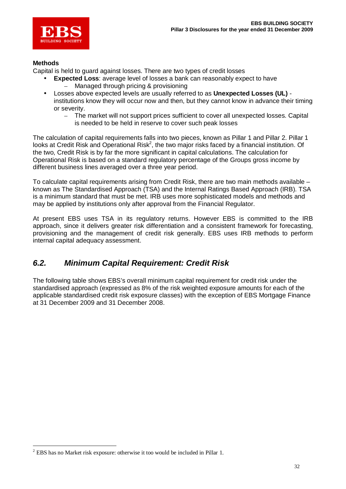

### **Methods**

Capital is held to guard against losses. There are two types of credit losses

- **Expected Loss**: average level of losses a bank can reasonably expect to have
	- Managed through pricing & provisioning
- Losses above expected levels are usually referred to as **Unexpected Losses (UL)** institutions know they will occur now and then, but they cannot know in advance their timing or severity.
	- The market will not support prices sufficient to cover all unexpected losses. Capital is needed to be held in reserve to cover such peak losses

The calculation of capital requirements falls into two pieces, known as Pillar 1 and Pillar 2. Pillar 1 looks at Credit Risk and Operational Risk<sup>2</sup>, the two major risks faced by a financial institution. Of the two, Credit Risk is by far the more significant in capital calculations. The calculation for Operational Risk is based on a standard regulatory percentage of the Groups gross income by different business lines averaged over a three year period.

To calculate capital requirements arising from Credit Risk, there are two main methods available – known as The Standardised Approach (TSA) and the Internal Ratings Based Approach (IRB). TSA is a minimum standard that must be met. IRB uses more sophisticated models and methods and may be applied by institutions only after approval from the Financial Regulator.

At present EBS uses TSA in its regulatory returns. However EBS is committed to the IRB approach, since it delivers greater risk differentiation and a consistent framework for forecasting, provisioning and the management of credit risk generally. EBS uses IRB methods to perform internal capital adequacy assessment.

# *6.2. Minimum Capital Requirement: Credit Risk*

The following table shows EBS's overall minimum capital requirement for credit risk under the standardised approach (expressed as 8% of the risk weighted exposure amounts for each of the applicable standardised credit risk exposure classes) with the exception of EBS Mortgage Finance at 31 December 2009 and 31 December 2008.

 $2$  EBS has no Market risk exposure: otherwise it too would be included in Pillar 1.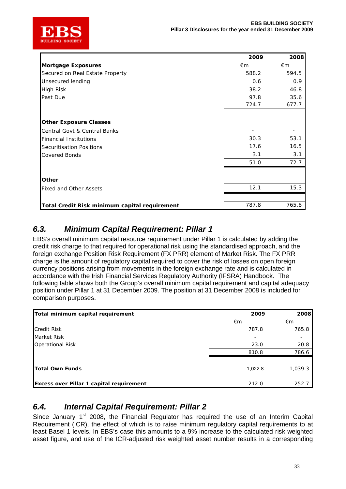

|                                               | 2009         | 2008  |
|-----------------------------------------------|--------------|-------|
| Mortgage Exposures                            | $\epsilon$ m | €m    |
| Secured on Real Estate Property               | 588.2        | 594.5 |
| Unsecured lending                             | 0.6          | 0.9   |
| High Risk                                     | 38.2         | 46.8  |
| Past Due                                      | 97.8         | 35.6  |
|                                               | 724.7        | 677.7 |
| <b>Other Exposure Classes</b>                 |              |       |
| Central Govt & Central Banks                  |              |       |
| <b>Financial Institutions</b>                 | 30.3         | 53.1  |
| Securitisation Positions                      | 17.6         | 16.5  |
| <b>Covered Bonds</b>                          | 3.1          | 3.1   |
|                                               | 51.0         | 72.7  |
| <b>Other</b>                                  |              |       |
| <b>Fixed and Other Assets</b>                 | 12.1         | 15.3  |
|                                               |              |       |
| Total Credit Risk minimum capital requirement | 787.8        | 765.8 |

# *6.3. Minimum Capital Requirement: Pillar 1*

EBS's overall minimum capital resource requirement under Pillar 1 is calculated by adding the credit risk charge to that required for operational risk using the standardised approach, and the foreign exchange Position Risk Requirement (FX PRR) element of Market Risk. The FX PRR charge is the amount of regulatory capital required to cover the risk of losses on open foreign currency positions arising from movements in the foreign exchange rate and is calculated in accordance with the Irish Financial Services Regulatory Authority (IFSRA) Handbook. The following table shows both the Group's overall minimum capital requirement and capital adequacy position under Pillar 1 at 31 December 2009. The position at 31 December 2008 is included for comparison purposes.

| Total minimum capital requirement        | 2009    | 2008    |
|------------------------------------------|---------|---------|
|                                          | €m      | €m      |
| <b>Credit Risk</b>                       | 787.8   | 765.8   |
| Market Risk                              |         |         |
| <b>Operational Risk</b>                  | 23.0    | 20.8    |
|                                          | 810.8   | 786.6   |
| Total Own Funds                          | 1,022.8 | 1,039.3 |
| Excess over Pillar 1 capital requirement | 212.0   | 252.7   |

# *6.4. Internal Capital Requirement: Pillar 2*

Since January 1<sup>st</sup> 2008, the Financial Regulator has required the use of an Interim Capital Requirement (ICR), the effect of which is to raise minimum regulatory capital requirements to at least Basel 1 levels. In EBS's case this amounts to a 9% increase to the calculated risk weighted asset figure, and use of the ICR-adjusted risk weighted asset number results in a corresponding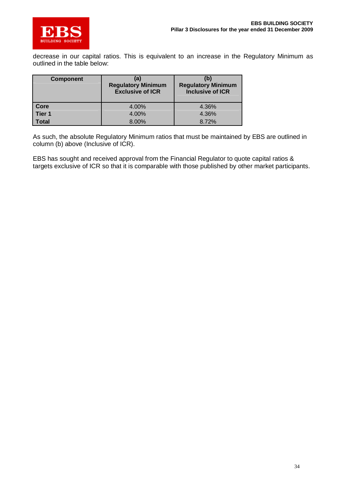

decrease in our capital ratios. This is equivalent to an increase in the Regulatory Minimum as outlined in the table below:

| <b>Component</b>  | (a)<br><b>Regulatory Minimum</b><br><b>Exclusive of ICR</b> | (b)<br><b>Regulatory Minimum</b><br><b>Inclusive of ICR</b> |
|-------------------|-------------------------------------------------------------|-------------------------------------------------------------|
| Core              | 4.00%                                                       | 4.36%                                                       |
| Tier <sub>1</sub> | 4.00%                                                       | 4.36%                                                       |
| <b>Total</b>      | 8.00%                                                       | 8.72%                                                       |

As such, the absolute Regulatory Minimum ratios that must be maintained by EBS are outlined in column (b) above (Inclusive of ICR).

EBS has sought and received approval from the Financial Regulator to quote capital ratios & targets exclusive of ICR so that it is comparable with those published by other market participants.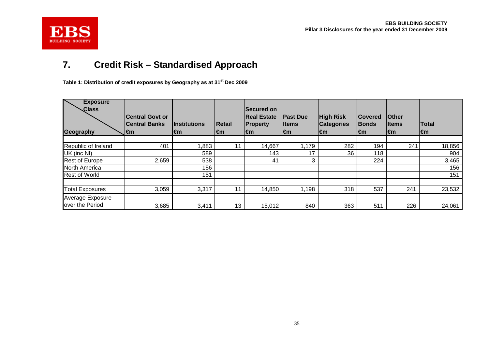

# **7. Credit Risk – Standardised Approach**

**Table 1: Distribution of credit exposures by Geography as at 31st Dec 2009**

| <b>Exposure</b><br>Class<br>Geography | <b>Central Govt or</b><br><b>Central Banks</b><br>l€m | <u>Institutions</u><br>l€m | Retail<br>l€m | <b>ISecured on</b><br><b>Real Estate</b><br><b>Property</b><br>l€m | <b>Past Due</b><br><b>I</b> tems<br>l€m | <b>High Risk</b><br><b>Categories</b><br>l€m | <b>Covered</b><br><b>Bonds</b><br>l€m | <b>Other</b><br>lltems<br>l€m | Total<br>l€m |
|---------------------------------------|-------------------------------------------------------|----------------------------|---------------|--------------------------------------------------------------------|-----------------------------------------|----------------------------------------------|---------------------------------------|-------------------------------|--------------|
|                                       |                                                       |                            |               |                                                                    |                                         |                                              |                                       |                               |              |
| Republic of Ireland                   | 401                                                   | 1,883                      | 11            | 14,667                                                             | 1,179                                   | 282                                          | 194                                   | 241                           | 18,856       |
| UK (inc NI)                           |                                                       | 589                        |               | 143                                                                | 17                                      | 36                                           | 118                                   |                               | 904          |
| <b>Rest of Europe</b>                 | 2,659                                                 | 538                        |               | 41                                                                 | 3                                       |                                              | 224                                   |                               | 3,465        |
| North America                         |                                                       | 156                        |               |                                                                    |                                         |                                              |                                       |                               | 156          |
| <b>Rest of World</b>                  |                                                       | 151                        |               |                                                                    |                                         |                                              |                                       |                               | 151          |
| <b>Total Exposures</b>                | 3,059                                                 | 3,317                      | 11            | 14,850                                                             | 1,198                                   | 318                                          | 537                                   | 241                           | 23,532       |
| Average Exposure<br>over the Period   | 3,685                                                 | 3,411                      | 13            | 15,012                                                             | 840                                     | 363                                          | 511                                   | 226                           | 24,061       |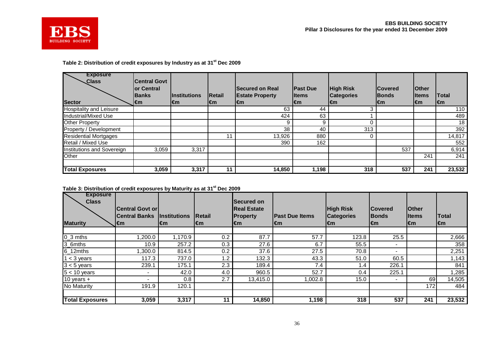

### **Table 2: Distribution of credit exposures by Industry as at 31st Dec 2009**

| <b>Exposure</b><br><b>Class</b><br><b>Sector</b> | <b>Central Govt</b><br>lor Central<br>lBanks<br>l€m | <b>I</b> Institutions<br>l€m | <b>IRetail</b><br>l€m | <b>Secured on Real</b><br><b>Estate Property</b><br>l€m | <b>IPast Due</b><br>lltems<br>l€m | <b>High Risk</b><br><b>Categories</b><br>l€m | <b>ICovered</b><br><b>IBonds</b><br>l€m | <b>Other</b><br>lltems<br>l€m | <b>Total</b><br>l€m |
|--------------------------------------------------|-----------------------------------------------------|------------------------------|-----------------------|---------------------------------------------------------|-----------------------------------|----------------------------------------------|-----------------------------------------|-------------------------------|---------------------|
| <b>Hospitality and Leisure</b>                   |                                                     |                              |                       | 63                                                      | 44                                |                                              |                                         |                               | 110                 |
| Industrial/Mixed Use                             |                                                     |                              |                       | 424                                                     | 63                                |                                              |                                         |                               | 489                 |
| <b>Other Property</b>                            |                                                     |                              |                       | 9                                                       | 9                                 |                                              |                                         |                               | 18                  |
| Property / Development                           |                                                     |                              |                       | 38                                                      | 40                                | 313                                          |                                         |                               | 392                 |
| <b>Residential Mortgages</b>                     |                                                     |                              | 11                    | 13,926                                                  | 880                               |                                              |                                         |                               | 14,817              |
| <b>Retail / Mixed Use</b>                        |                                                     |                              |                       | 390                                                     | 162                               |                                              |                                         |                               | 552                 |
| Institutions and Sovereign                       | 3,059                                               | 3,317                        |                       |                                                         |                                   |                                              | 537                                     |                               | 6,914               |
| Other                                            |                                                     |                              |                       |                                                         |                                   |                                              |                                         | 241                           | 241                 |
|                                                  |                                                     |                              |                       |                                                         |                                   |                                              |                                         |                               |                     |
| <b>Total Exposures</b>                           | 3,059                                               | 3,317                        | 11                    | 14,850                                                  | 1,198                             | 318                                          | 537                                     | 241                           | 23,532              |

**Table 3: Distribution of credit exposures by Maturity as at 31st Dec 2009**

| <b>Exposure</b><br><b>Class</b> | <b>Central Govt or</b> |                     |                | <b>Secured on</b><br><b>Real Estate</b> |                        | <b>High Risk</b>  | <b>Covered</b> | <b>IOther</b> |              |
|---------------------------------|------------------------|---------------------|----------------|-----------------------------------------|------------------------|-------------------|----------------|---------------|--------------|
|                                 | <b>Central Banks</b>   | <b>Institutions</b> | <b>IRetail</b> | <b>Property</b>                         | <b>IPast Due Items</b> | <b>Categories</b> | <b>IBonds</b>  | lltems        | <b>Total</b> |
| <b>Maturity</b>                 | l€m                    | l€m                 | l€m            | l€m                                     | l€m                    | l€m               | l€m            | l€m           | l€m          |
|                                 |                        |                     |                |                                         |                        |                   |                |               |              |
| $0_3$ mths                      | 1,200.0                | 1,170.9             | 0.2            | 87.7                                    | 57.7                   | 123.8             | 25.5           |               | 2,666        |
| 3_6mths                         | 10.9                   | 257.2               | 0.3            | 27.6                                    | 6.7                    | 55.5              |                |               | 358          |
| $6_12$ mths                     | 1,300.0                | 814.5               | 0.2            | 37.6                                    | 27.5                   | 70.8              |                |               | 2,251        |
| $1 < 3$ years                   | 117.3                  | 737.0               | 1.2            | 132.3                                   | 43.3                   | 51.0              | 60.5           |               | 1,143        |
| $3 < 5$ years                   | 239.1                  | 175.1               | 2.3            | 189.4                                   | 7.4                    | 1.4               | 226.1          |               | 841          |
| $5 < 10$ years                  | $\blacksquare$         | 42.0                | 4.0            | 960.5                                   | 52.7                   | 0.4               | 225.1          |               | ,285         |
| 10 years $+$                    | -                      | 0.8                 | 2.7            | 13,415.0                                | 1,002.8                | 15.0              |                | 69            | 14,505       |
| No Maturity                     | 191.9                  | 120.1               |                |                                         |                        |                   |                | 172           | 484          |
|                                 |                        |                     |                |                                         |                        |                   |                |               |              |
| <b>Total Exposures</b>          | 3,059                  | 3,317               | 11             | 14,850                                  | 1,198                  | 318               | 537            | 241           | 23,532       |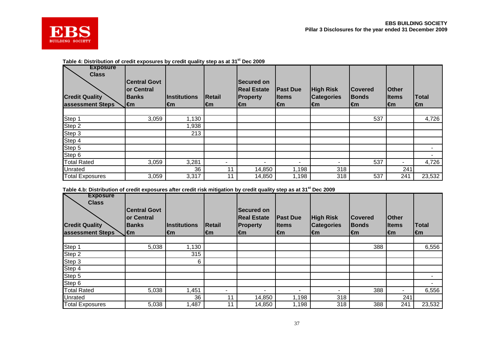



### **Table 4: Distribution of credit exposures by credit quality step as at 31st Dec 2009**

| <b>Exposure</b><br><b>Class</b> | <b>Central Govt</b> |                     |        | <b>Secured on</b>  |                          |                          |                |              |        |
|---------------------------------|---------------------|---------------------|--------|--------------------|--------------------------|--------------------------|----------------|--------------|--------|
|                                 | <b>or Central</b>   |                     |        | <b>Real Estate</b> | <b>IPast Due</b>         | <b>High Risk</b>         | <b>Covered</b> | <b>Other</b> |        |
| <b>Credit Quality</b>           | <b>Banks</b>        | <b>Institutions</b> | Retail | <b>Property</b>    | <b>I</b> tems            | <b>Categories</b>        | <b>Bonds</b>   | lltems       | Total  |
| assessment Steps                | l€m                 | €m                  | l€m    | l€m                | $\mathbf{m}$             | $\mathbf{m}$             | l€m            | $\mathbf{m}$ | l€m    |
|                                 |                     |                     |        |                    |                          |                          |                |              |        |
| Step 1                          | 3,059               | 1,130               |        |                    |                          |                          | 537            |              | 4,726  |
| Step 2                          |                     | .938                |        |                    |                          |                          |                |              |        |
| Step 3                          |                     | 213                 |        |                    |                          |                          |                |              |        |
| Step 4                          |                     |                     |        |                    |                          |                          |                |              |        |
| Step 5                          |                     |                     |        |                    |                          |                          |                |              |        |
| Step 6                          |                     |                     |        |                    |                          |                          |                |              |        |
| <b>Total Rated</b>              | 3,059               | 3,281               |        |                    | $\overline{\phantom{0}}$ | $\overline{\phantom{a}}$ | 537            |              | 4,726  |
| Unrated                         |                     | 36                  | 11     | 14,850             | 1,198                    | 318                      |                | 241          |        |
| <b>Total Exposures</b>          | 3,059               | 3,317               | 11     | 14,850             | 1,198                    | 318                      | 537            | 241          | 23,532 |

**Table 4.b: Distribution of credit exposures after credit risk mitigation by credit quality step as at 31st Dec 2009**

| <b>Exposure</b><br><b>Class</b>           | <b>Central Govt</b>                |                     |        | <b>Secured on</b>     |                              |                                   |                                |                        |              |
|-------------------------------------------|------------------------------------|---------------------|--------|-----------------------|------------------------------|-----------------------------------|--------------------------------|------------------------|--------------|
|                                           | <b>lor Central</b><br><b>Banks</b> | <b>Institutions</b> | Retail | <b>Real Estate</b>    | <b>IPast Due</b>             | <b>High Risk</b>                  | <b>Covered</b><br><b>Bonds</b> | <b>Other</b><br>lltems | Total        |
| <b>Credit Quality</b><br>assessment Steps | l€m                                | €m                  | l€m    | <b>Property</b><br>€m | <b>Items</b><br>$\mathbf{m}$ | <b>Categories</b><br>$\epsilon$ m | €m                             | l€m                    | $\mathbf{m}$ |
|                                           |                                    |                     |        |                       |                              |                                   |                                |                        |              |
| Step 1                                    | 5,038                              | 1,130               |        |                       |                              |                                   | 388                            |                        | 6,556        |
| Step 2                                    |                                    | 315                 |        |                       |                              |                                   |                                |                        |              |
| Step 3                                    |                                    | 6                   |        |                       |                              |                                   |                                |                        |              |
| Step 4                                    |                                    |                     |        |                       |                              |                                   |                                |                        |              |
| Step 5                                    |                                    |                     |        |                       |                              |                                   |                                |                        |              |
| Step 6                                    |                                    |                     |        |                       |                              |                                   |                                |                        | -            |
| <b>Total Rated</b>                        | 5,038                              | 1,451               | ۰      |                       | $\overline{\phantom{a}}$     | ۰                                 | 388                            |                        | 6,556        |
| Unrated                                   |                                    | 36                  | 1      | 14,850                | ,198                         | 318                               |                                | 241                    |              |
| <b>Total Exposures</b>                    | 5,038                              | 1,487               | 11     | 14,850                | 1,198                        | 318                               | 388                            | 241                    | 23,532       |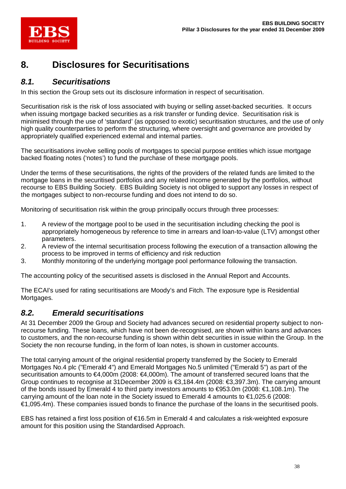

# **8. Disclosures for Securitisations**

# *8.1. Securitisations*

In this section the Group sets out its disclosure information in respect of securitisation.

Securitisation risk is the risk of loss associated with buying or selling asset-backed securities. It occurs when issuing mortgage backed securities as a risk transfer or funding device. Securitisation risk is minimised through the use of 'standard' (as opposed to exotic) securitisation structures, and the use of only high quality counterparties to perform the structuring, where oversight and governance are provided by appropriately qualified experienced external and internal parties.

The securitisations involve selling pools of mortgages to special purpose entities which issue mortgage backed floating notes ('notes') to fund the purchase of these mortgage pools.

Under the terms of these securitisations, the rights of the providers of the related funds are limited to the mortgage loans in the securitised portfolios and any related income generated by the portfolios, without recourse to EBS Building Society. EBS Building Society is not obliged to support any losses in respect of the mortgages subject to non-recourse funding and does not intend to do so.

Monitoring of securitisation risk within the group principally occurs through three processes:

- 1. A review of the mortgage pool to be used in the securitisation including checking the pool is appropriately homogeneous by reference to time in arrears and loan-to-value (LTV) amongst other parameters.
- 2. A review of the internal securitisation process following the execution of a transaction allowing the process to be improved in terms of efficiency and risk reduction
- 3. Monthly monitoring of the underlying mortgage pool performance following the transaction.

The accounting policy of the securitised assets is disclosed in the Annual Report and Accounts.

The ECAI's used for rating securitisations are Moody's and Fitch. The exposure type is Residential Mortgages.

## *8.2. Emerald securitisations*

At 31 December 2009 the Group and Society had advances secured on residential property subject to nonrecourse funding. These loans, which have not been de-recognised, are shown within loans and advances to customers, and the non-recourse funding is shown within debt securities in issue within the Group. In the Society the non recourse funding, in the form of loan notes, is shown in customer accounts.

The total carrying amount of the original residential property transferred by the Society to Emerald Mortgages No.4 plc ("Emerald 4") and Emerald Mortgages No.5 unlimited ("Emerald 5") as part of the securitisation amounts to €4,000m (2008: €4,000m). The amount of transferred secured loans that the Group continues to recognise at 31December 2009 is €3,184.4m (2008: €3,397.3m). The carrying amount of the bonds issued by Emerald 4 to third party investors amounts to €953.0m (2008: €1,108.1m). The carrying amount of the loan note in the Society issued to Emerald 4 amounts to €1,025.6 (2008: €1,095.4m). These companies issued bonds to finance the purchase of the loans in the securitised pools.

EBS has retained a first loss position of €16.5m in Emerald 4 and calculates a risk-weighted exposure amount for this position using the Standardised Approach.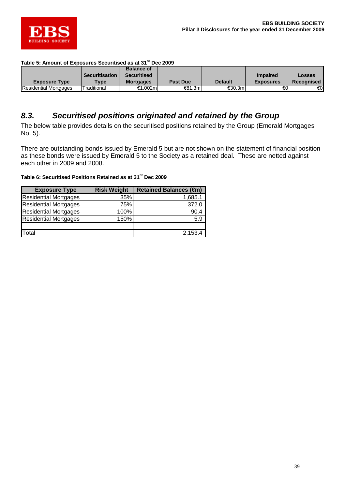

| Table 5: Amount of Exposures Securitised as at 31 <sup>st</sup> Dec 2009 |  |  |
|--------------------------------------------------------------------------|--|--|
|--------------------------------------------------------------------------|--|--|

|                              |                         | <b>Balance of</b> |                 |                |                  |               |
|------------------------------|-------------------------|-------------------|-----------------|----------------|------------------|---------------|
|                              | <b>Securitisation</b>   | Securitised       |                 |                | <b>Impaired</b>  | <b>Losses</b> |
| <b>Exposure Type</b>         | $T$ <sub>VDe</sub>      | <b>Mortgages</b>  | <b>Past Due</b> | <b>Default</b> | <b>Exposures</b> | Recognised    |
| <b>Residential Mortgages</b> | raditional <sup>-</sup> | €1.002ml          | €81.3m          | €30.3m         | €ΟΙ              | €0            |

### *8.3. Securitised positions originated and retained by the Group*

The below table provides details on the securitised positions retained by the Group (Emerald Mortgages No. 5).

There are outstanding bonds issued by Emerald 5 but are not shown on the statement of financial position as these bonds were issued by Emerald 5 to the Society as a retained deal. These are netted against each other in 2009 and 2008.

### **Table 6: Securitised Positions Retained as at 31st Dec 2009**

| <b>Exposure Type</b>         | <b>Risk Weight</b> | <b>Retained Balances (€m)</b> |
|------------------------------|--------------------|-------------------------------|
| <b>Residential Mortgages</b> | 35%                | 1,685.1                       |
| <b>Residential Mortgages</b> | 75%                | 372.0                         |
| <b>Residential Mortgages</b> | 100%               | 90.4                          |
| <b>Residential Mortgages</b> | 150%               | 5.9                           |
|                              |                    |                               |
| Total                        |                    | 2,153.4                       |